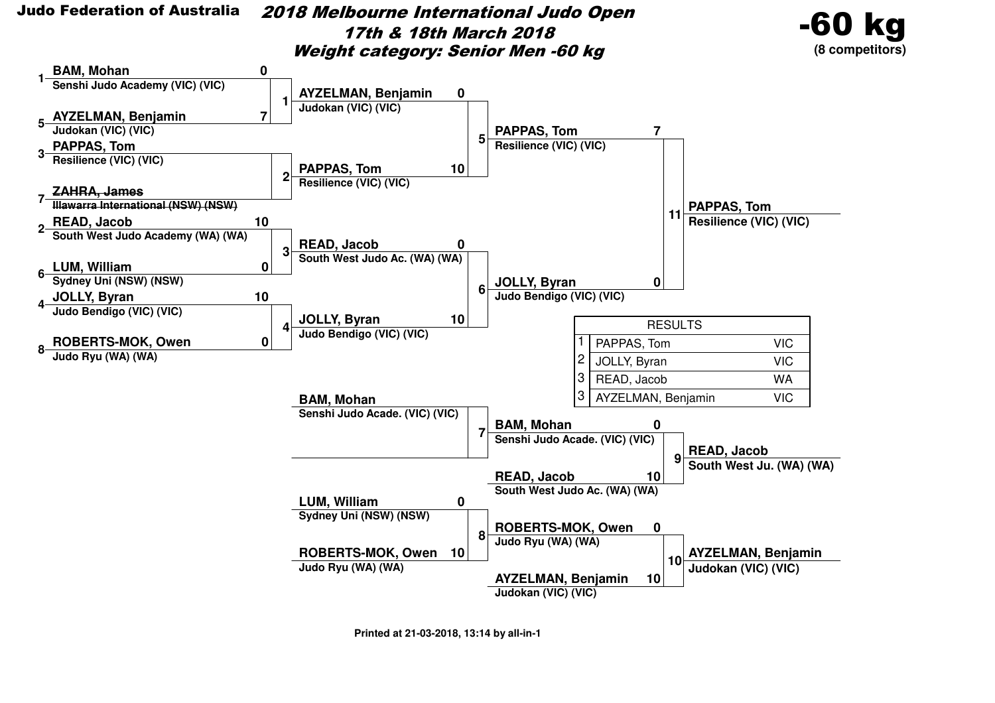

 2018 Melbourne International Judo Open17th & 18th March 2018Weight category: Senior Men -60 kg



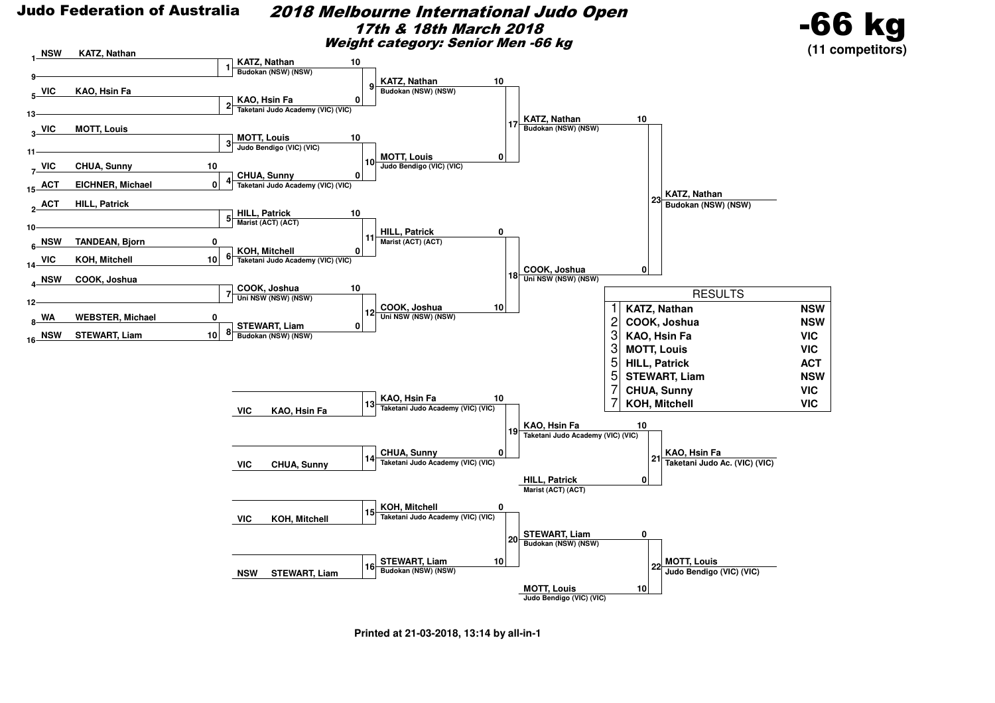#### 2018 Melbourne International Judo Open17th & 18th March 2018Weight category: Senior Men -66 kg



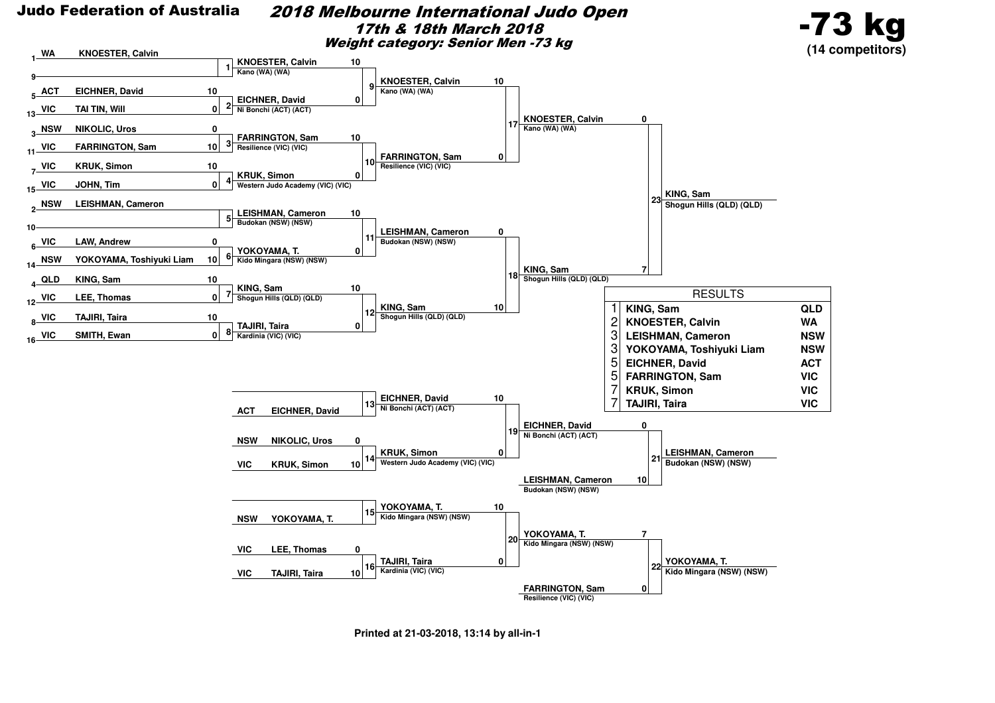#### 2018 Melbourne International Judo Open17th & 18th March 2018Weight category: Senior Men -73 kg



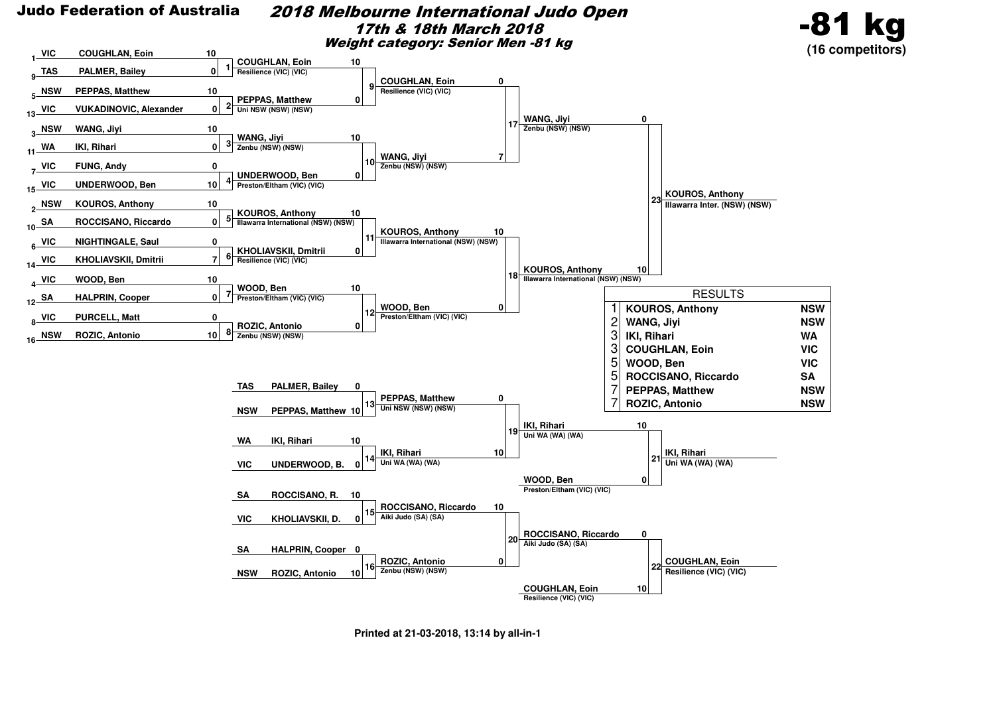

#### 2018 Melbourne International Judo Open17th & 18th March 2018Weight category: Senior Men -81 kg



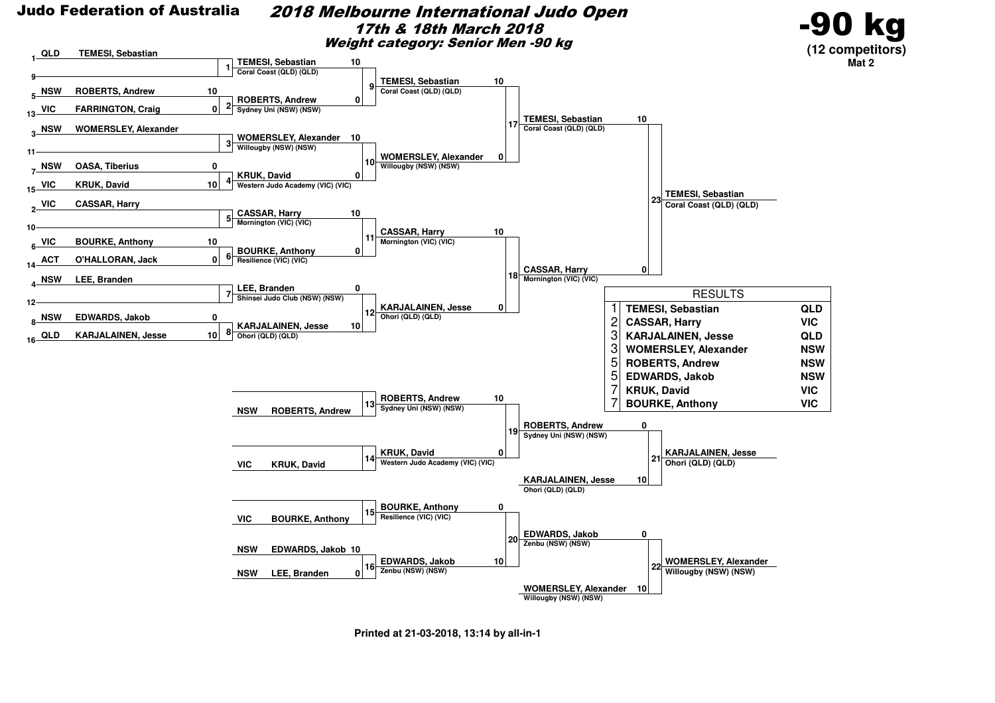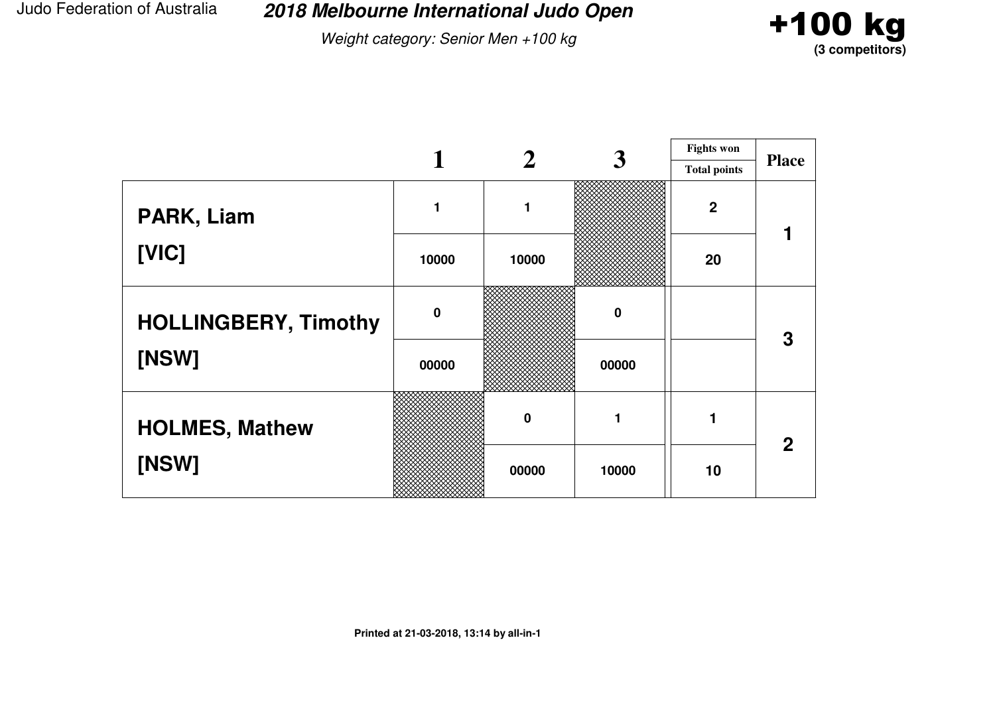**2018 Melbourne International Judo Open**

Weight category: Senior Men +100 kg



|                             |             |                  | 3           | <b>Fights won</b>   |              |  |
|-----------------------------|-------------|------------------|-------------|---------------------|--------------|--|
|                             |             |                  |             | <b>Total points</b> | <b>Place</b> |  |
| PARK, Liam                  |             | 1                |             | $\boldsymbol{2}$    |              |  |
| [VIC]                       | 10000       | 10000            |             | 20                  |              |  |
| <b>HOLLINGBERY, Timothy</b> | $\mathbf 0$ |                  | $\mathbf 0$ |                     | 3            |  |
| [NSW]                       | 00000       |                  | 00000       |                     |              |  |
| <b>HOLMES, Mathew</b>       |             | $\boldsymbol{0}$ |             |                     |              |  |
| [NSW]                       |             | 00000            | 10000       | 10                  | $\mathbf 2$  |  |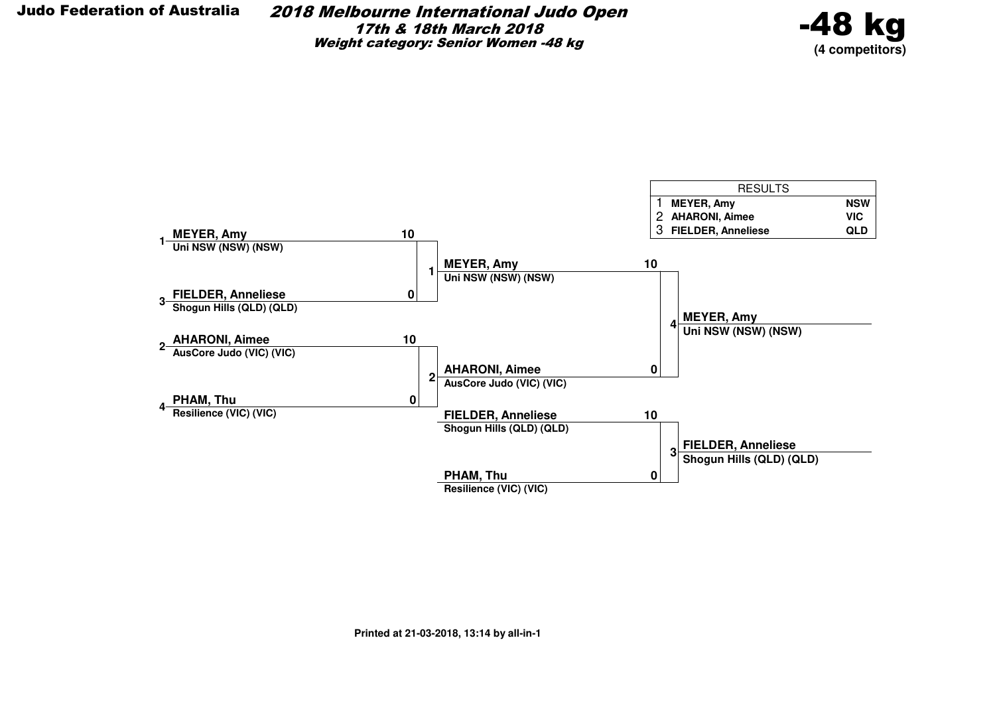2018 Melbourne International Judo Open17th & 18th March 2018Weight category: Senior Women -48 kg



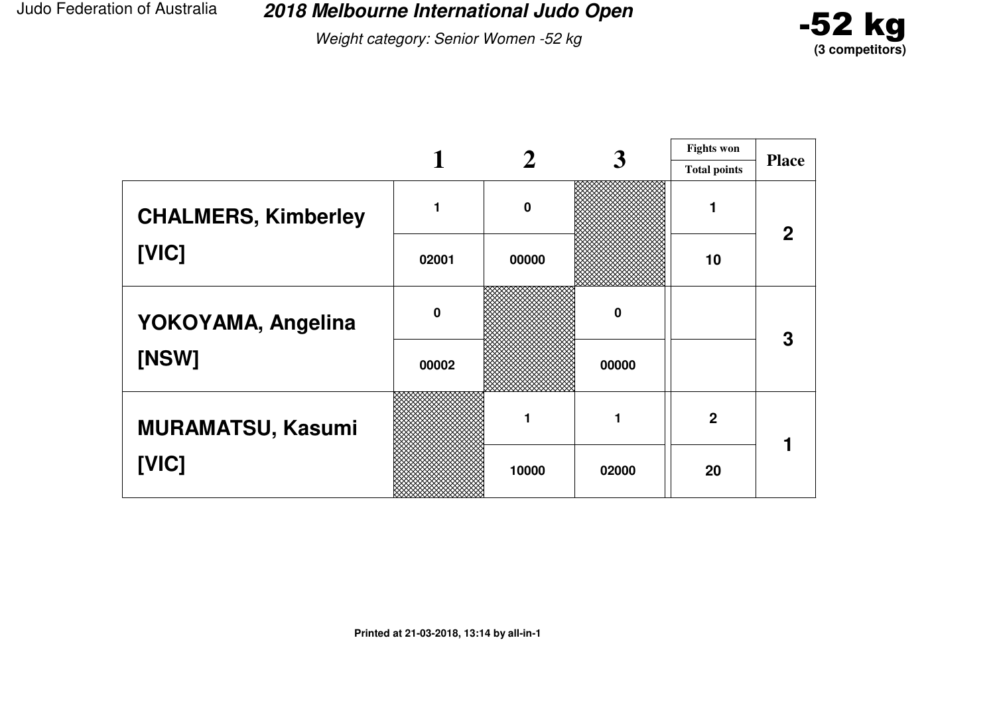**2018 Melbourne International Judo Open**

Weight category: Senior Women -52 kg



|                            |             |                  | 3     | <b>Fights won</b> |                |
|----------------------------|-------------|------------------|-------|-------------------|----------------|
|                            |             |                  |       |                   | <b>Place</b>   |
| <b>CHALMERS, Kimberley</b> |             | $\boldsymbol{0}$ |       |                   | $\overline{2}$ |
| [VIC]                      | 02001       | 00000            |       |                   |                |
| YOKOYAMA, Angelina         | $\mathbf 0$ |                  | 0     |                   | 3              |
| [NSW]                      | 00002       |                  | 00000 |                   |                |
| <b>MURAMATSU, Kasumi</b>   |             | 1                | 1     | $\mathbf 2$       |                |
| [VIC]                      |             | 10000            | 02000 | 20                |                |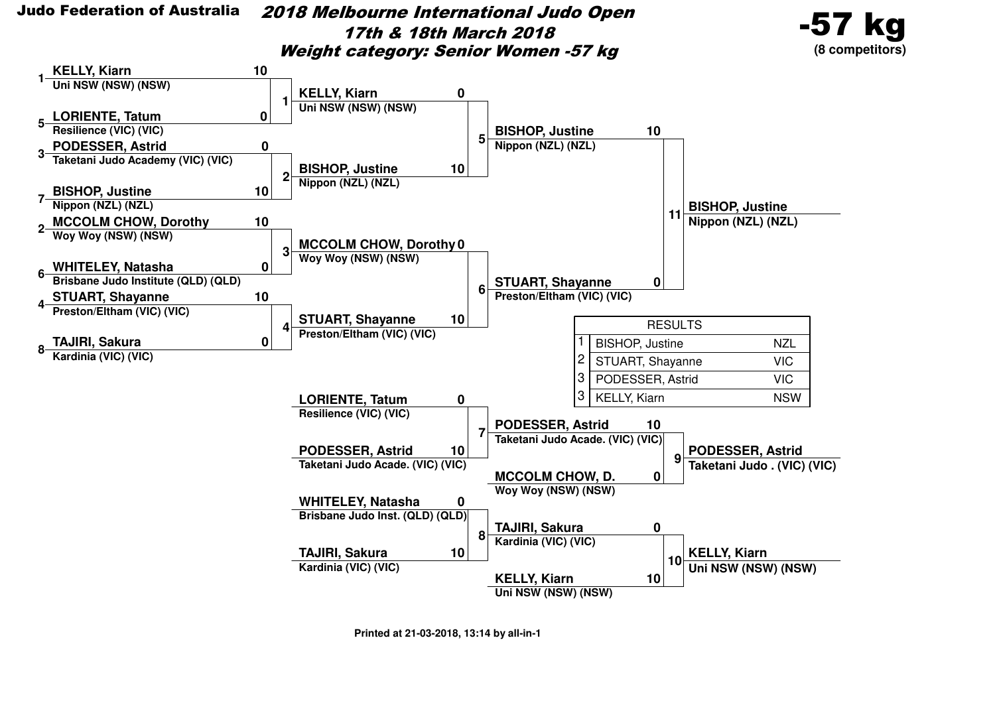2018 Melbourne International Judo Open17th & 18th March 2018Weight category: Senior Women -57 kg



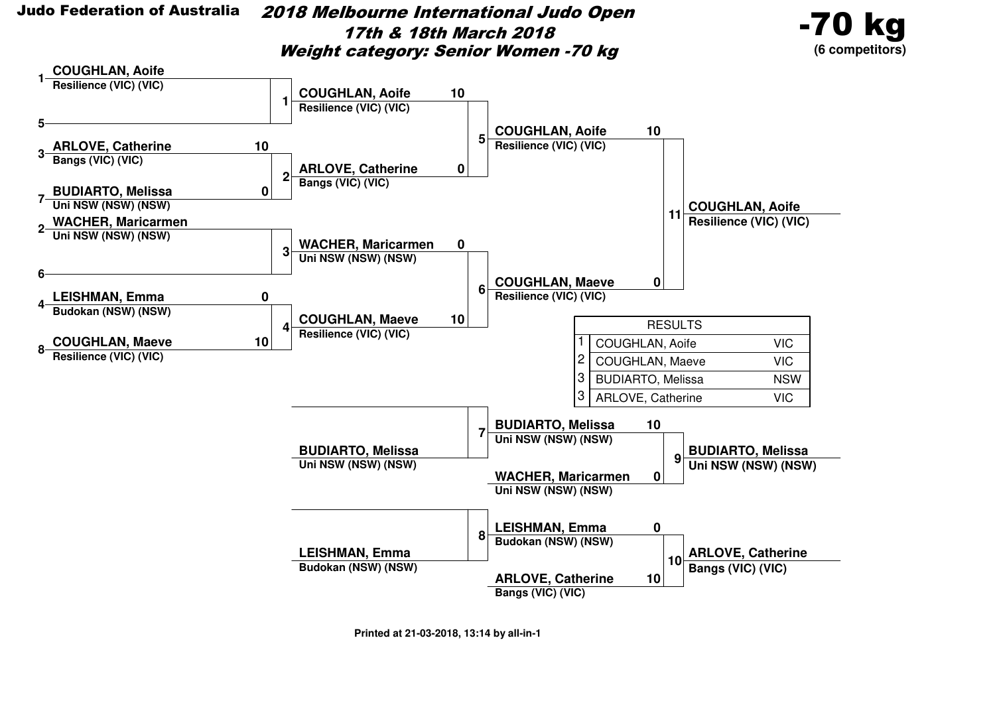

 2018 Melbourne International Judo Open17th & 18th March 2018Weight category: Senior Women -70 kg



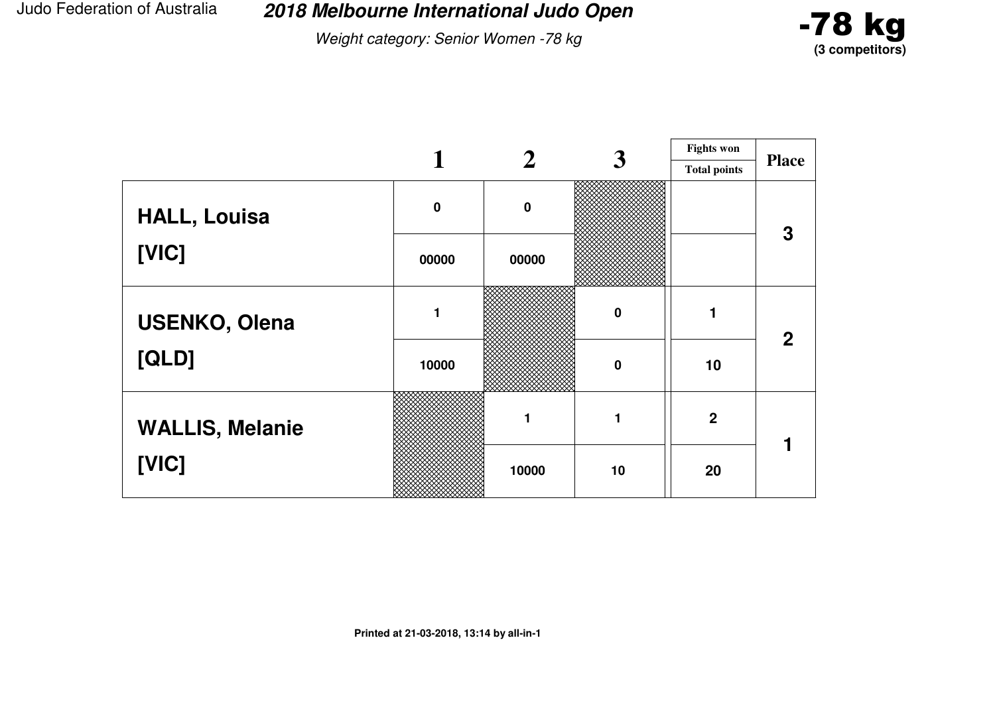**2018 Melbourne International Judo Open**

Weight category: Senior Women -78 kg



|                        |             |           | 3        | <b>Fights won</b>   |              |
|------------------------|-------------|-----------|----------|---------------------|--------------|
|                        |             |           |          | <b>Total points</b> | <b>Place</b> |
| <b>HALL, Louisa</b>    | $\mathbf 0$ | $\pmb{0}$ |          |                     | 3            |
| [VIC]                  | 00000       | 00000     |          |                     |              |
| <b>USENKO, Olena</b>   |             |           | $\bf{0}$ |                     | $\mathbf{2}$ |
| [QLD]                  | 10000       |           | $\bf{0}$ | 10                  |              |
| <b>WALLIS, Melanie</b> |             | 1         | 1        | $\overline{2}$      |              |
| [VIC]                  |             | 10000     | 10       | 20                  |              |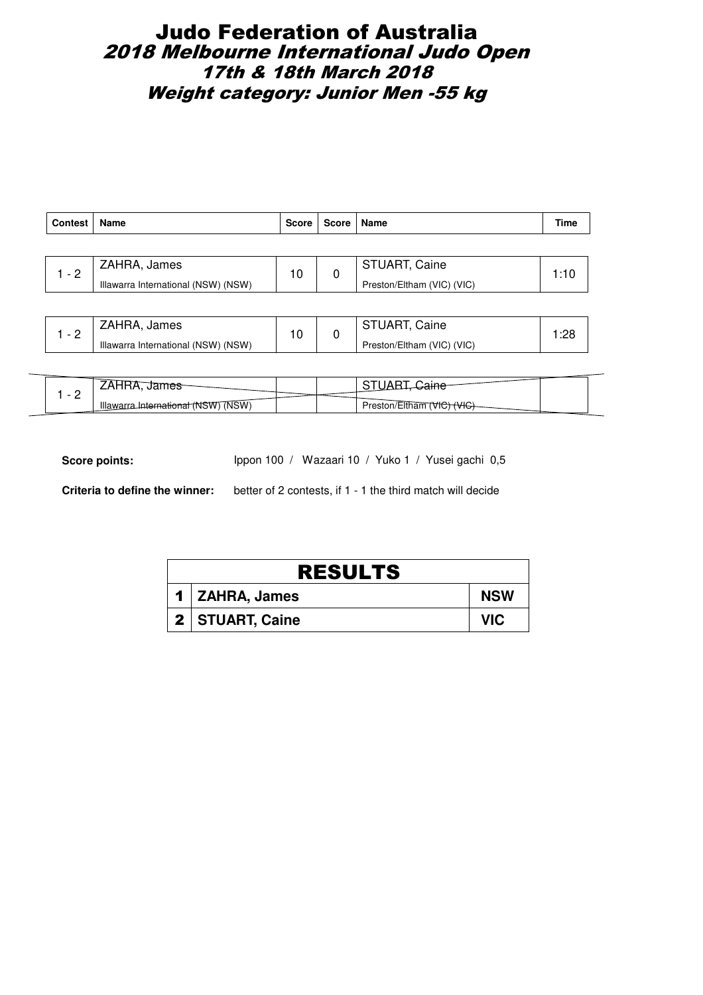# Judo Federation of Australia 2018 Melbourne International Judo Open 17th & 18th March 2018 Weight category: Junior Men -55 kg

| <b>Contest</b> | Name                                | <b>Score</b> | Score                | Name                       | Time |
|----------------|-------------------------------------|--------------|----------------------|----------------------------|------|
|                |                                     |              |                      |                            |      |
| $-2$           | ZAHRA, James                        | 10<br>0      | <b>STUART, Caine</b> | 1:10                       |      |
|                | Illawarra International (NSW) (NSW) |              |                      | Preston/Eltham (VIC) (VIC) |      |
|                |                                     |              |                      |                            |      |

|           | ZAHRA, James                        |  | <b>STUART, Caine</b>       |  |
|-----------|-------------------------------------|--|----------------------------|--|
| <u>. </u> | Illawarra International (NSW) (NSW) |  | Preston/Eltham (VIC) (VIC) |  |

|   | <b>TIES</b>                                  |  |                         |  |
|---|----------------------------------------------|--|-------------------------|--|
| - | Linternational (NSW) (NSW)<br><b>Illawar</b> |  | Preston/Eltham<br>'VIC. |  |

Score points: Ippon 100 / Wazaari 10 / Yuko 1 / Yusei gachi 0,5

| <b>RESULTS</b> |                   |            |  |  |  |  |
|----------------|-------------------|------------|--|--|--|--|
|                | 1 ZAHRA, James    | <b>NSW</b> |  |  |  |  |
|                | 2   STUART, Caine | VIC.       |  |  |  |  |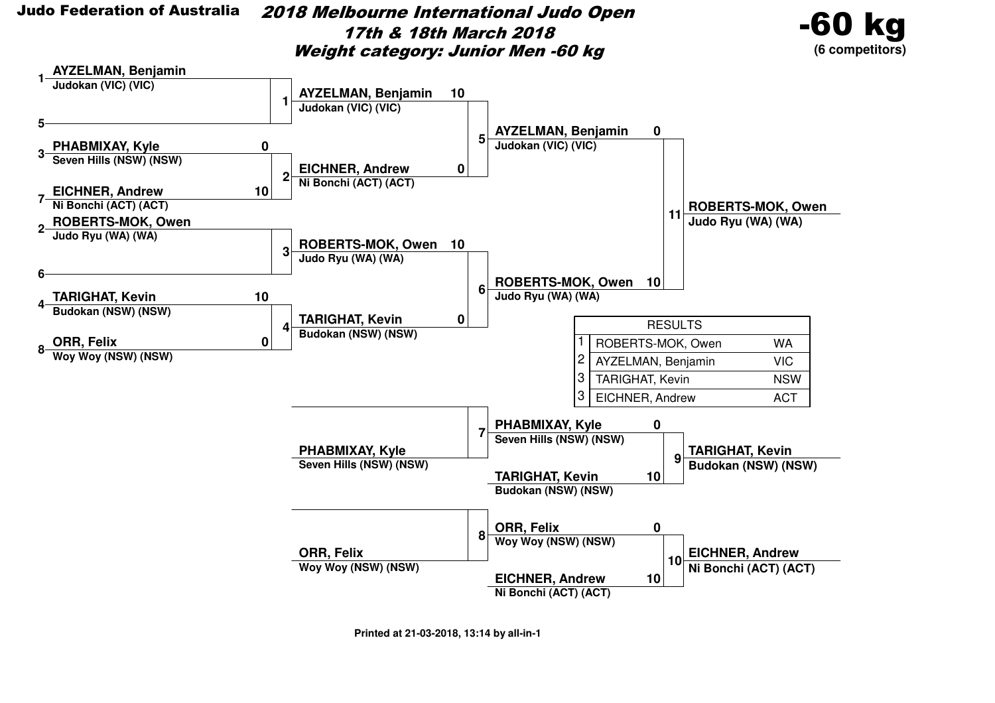

 2018 Melbourne International Judo Open17th & 18th March 2018Weight category: Junior Men -60 kg



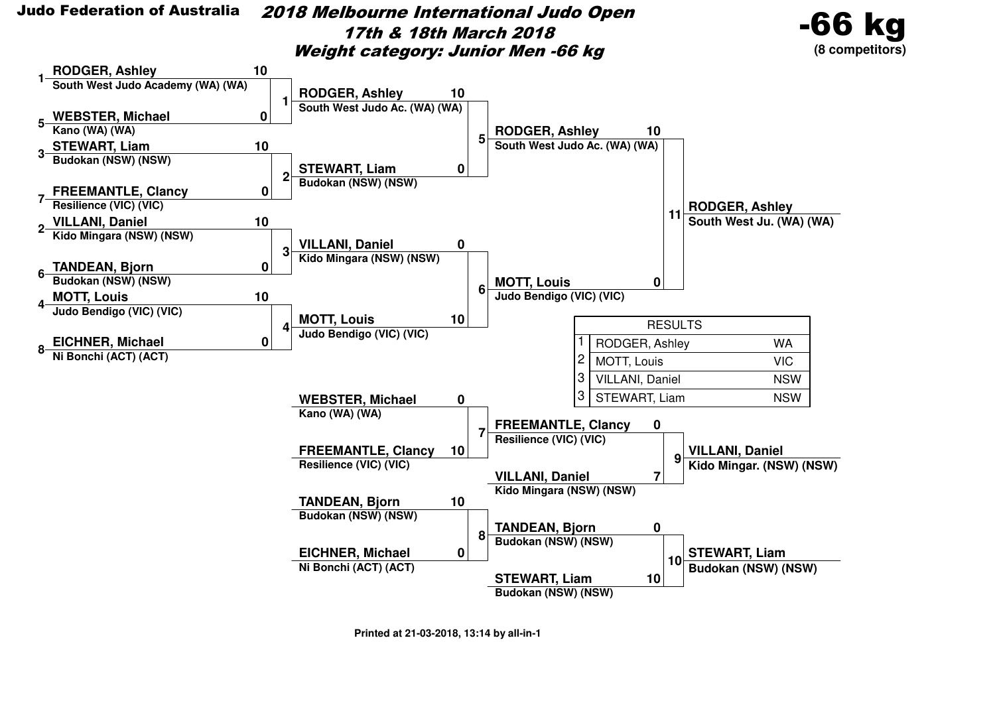

 2018 Melbourne International Judo Open17th & 18th March 2018Weight category: Junior Men -66 kg





**Printed at 21-03-2018, 13:14 by all-in-1**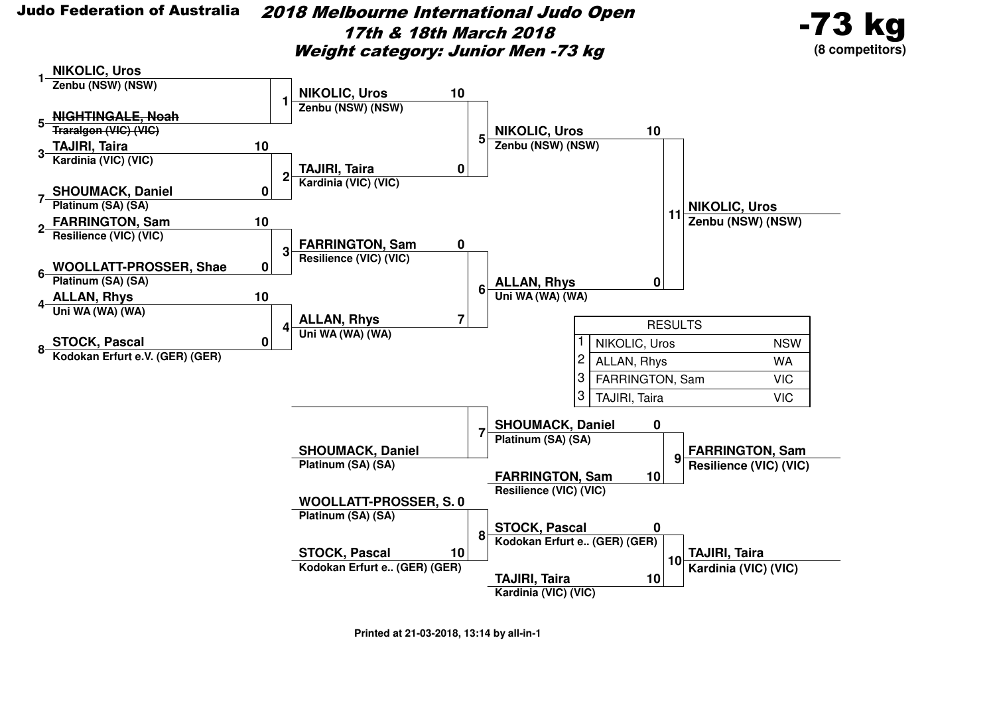2018 Melbourne International Judo Open17th & 18th March 2018Weight category: Junior Men -73 kg



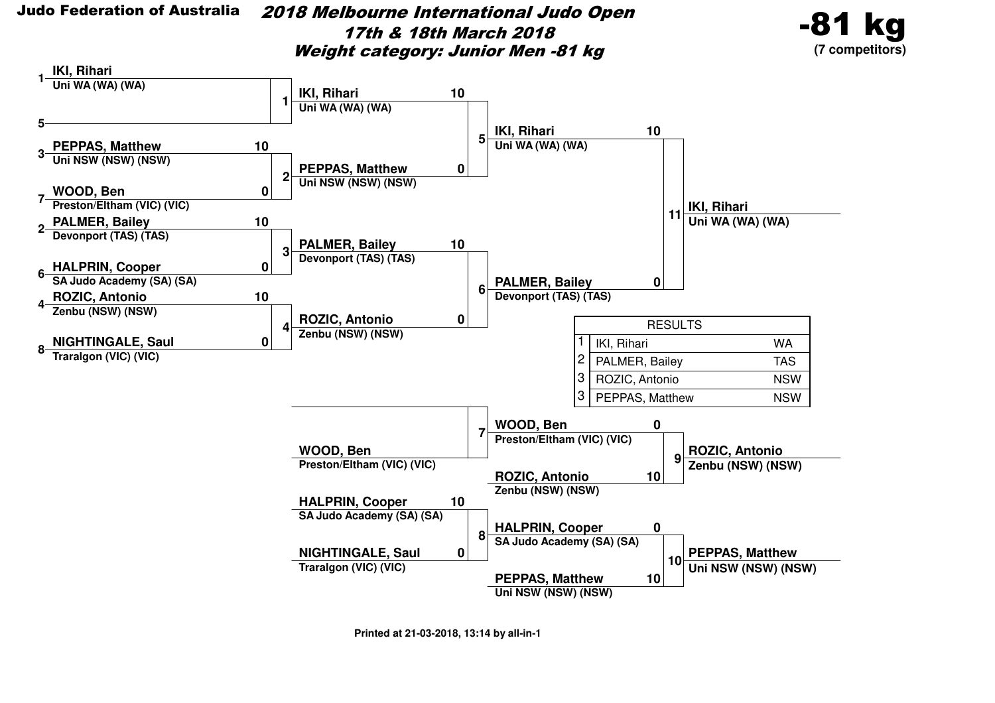2018 Melbourne International Judo Open17th & 18th March 2018Weight category: Junior Men -81 kg



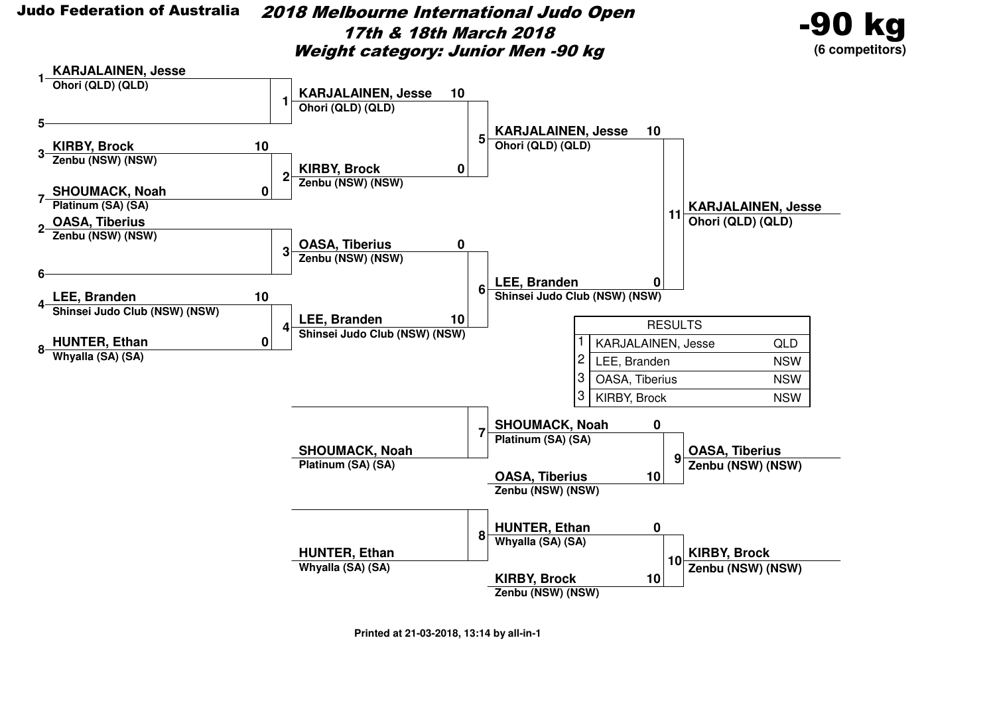2018 Melbourne International Judo Open17th & 18th March 2018Weight category: Junior Men -90 kg



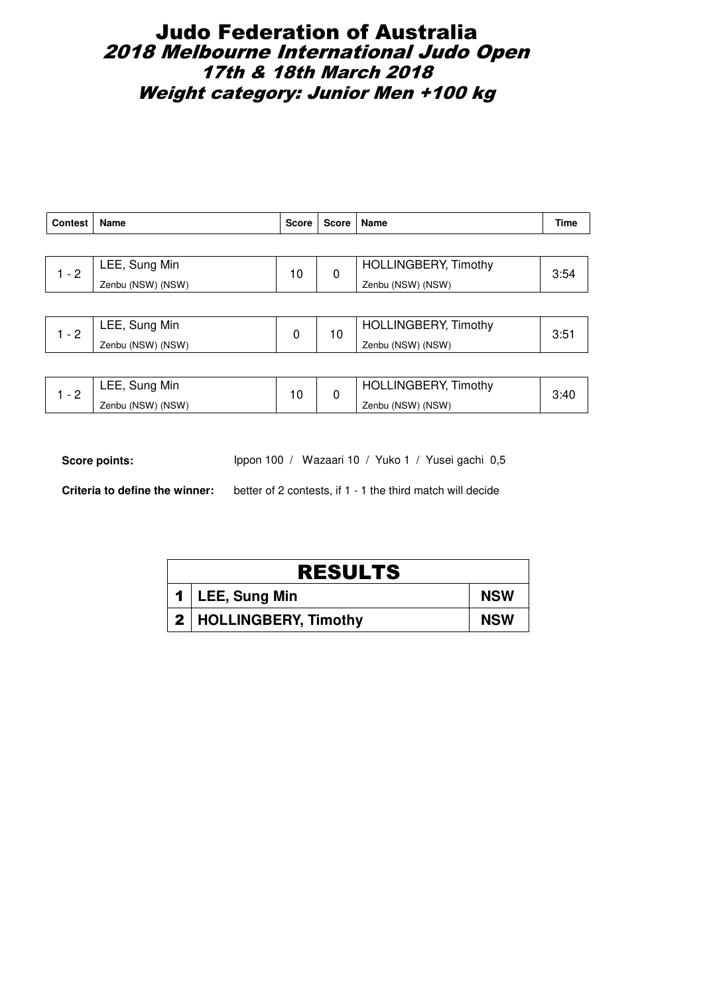### Judo Federation of Australia 2018 Melbourne International Judo Open 17th & 18th March 2018 Weight category: Junior Men +100 kg

| <b>Contest</b> | <b>Name</b>       | <b>Score</b> | Score                       | Name                        | Time |
|----------------|-------------------|--------------|-----------------------------|-----------------------------|------|
|                |                   |              |                             |                             |      |
| $1 - 2$        | LEE, Sung Min     | 10<br>0      | <b>HOLLINGBERY, Timothy</b> | 3:54                        |      |
|                | Zenbu (NSW) (NSW) |              | Zenbu (NSW) (NSW)           |                             |      |
|                |                   |              |                             |                             |      |
| $1 - 2$        | LEE, Sung Min     | 0            |                             | <b>HOLLINGBERY, Timothy</b> | 3:51 |
|                | Zenbu (NSW) (NSW) |              | 10                          | Zenbu (NSW) (NSW)           |      |

| - | LEE, Sung Min     | c | <b>HOLLINGBERY, Timothy</b> | 3.4U |
|---|-------------------|---|-----------------------------|------|
| - | Zenbu (NSW) (NSW) |   | Zenbu (NSW) (NSW)           |      |

Score points: Ippon 100 / Wazaari 10 / Yuko 1 / Yusei gachi 0,5

| <b>RESULTS</b> |                          |            |  |  |  |
|----------------|--------------------------|------------|--|--|--|
|                | 1   LEE, Sung Min        | <b>NSW</b> |  |  |  |
|                | 2   HOLLINGBERY, Timothy | <b>NSW</b> |  |  |  |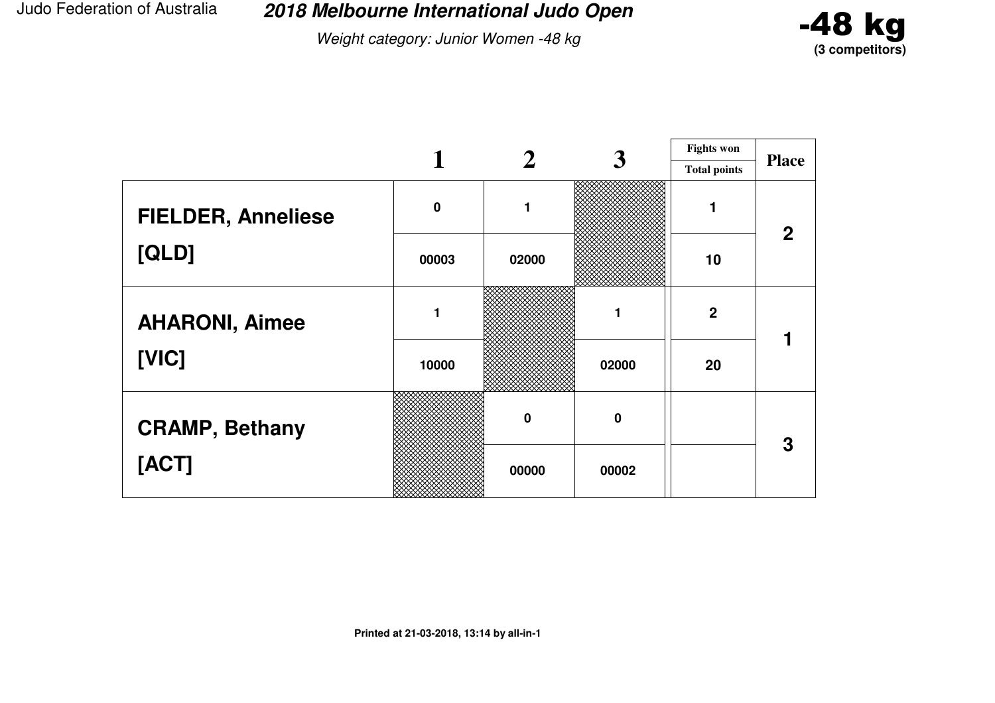**2018 Melbourne International Judo Open**

Weight category: Junior Women -48 kg



|                           |             |                  | 3                | <b>Fights won</b>   |              |
|---------------------------|-------------|------------------|------------------|---------------------|--------------|
|                           |             |                  |                  | <b>Total points</b> | <b>Place</b> |
| <b>FIELDER, Anneliese</b> | $\mathbf 0$ | 1                |                  |                     | $\mathbf{2}$ |
| [QLD]                     | 00003       | 02000            |                  | 10                  |              |
| <b>AHARONI, Aimee</b>     |             |                  |                  | $\boldsymbol{2}$    |              |
| [VIC]                     | 10000       |                  | 02000            | 20                  |              |
| <b>CRAMP, Bethany</b>     |             | $\boldsymbol{0}$ | $\boldsymbol{0}$ |                     | 3            |
| [ACT]                     |             | 00000            | 00002            |                     |              |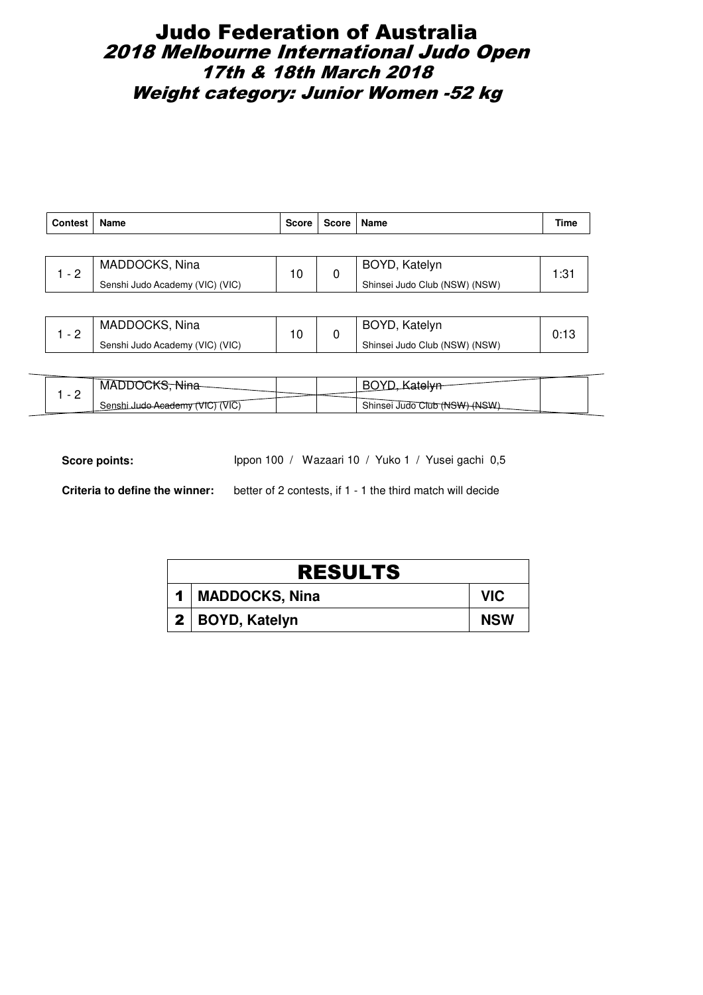# Judo Federation of Australia 2018 Melbourne International Judo Open 17th & 18th March 2018 Weight category: Junior Women -52 kg

| <b>Contest</b> | <b>Name</b>                     | <b>Score</b> | Score   Name  |                               | Time |
|----------------|---------------------------------|--------------|---------------|-------------------------------|------|
|                |                                 |              |               |                               |      |
| $-2$           | MADDOCKS, Nina                  | 10<br>0      | BOYD, Katelyn | 1:31                          |      |
|                | Senshi Judo Academy (VIC) (VIC) |              |               | Shinsei Judo Club (NSW) (NSW) |      |

| MADDOCKS, Nina                  | 10 | BOYD, Katelyn                 |  |
|---------------------------------|----|-------------------------------|--|
| Senshi Judo Academy (VIC) (VIC) |    | Shinsei Judo Club (NSW) (NSW) |  |

|   | <b>MADDOCKS</b>                 |  |                               |  |
|---|---------------------------------|--|-------------------------------|--|
| - | Senshi Judo Academy (VIC) (VIC) |  | Shinsei Judo Club (NSW) (NSW) |  |

Score points: Ippon 100 / Wazaari 10 / Yuko 1 / Yusei gachi 0,5

| <b>RESULTS</b>        |            |
|-----------------------|------------|
| <b>MADDOCKS, Nina</b> | VIC.       |
| 2   BOYD, Katelyn     | <b>NSW</b> |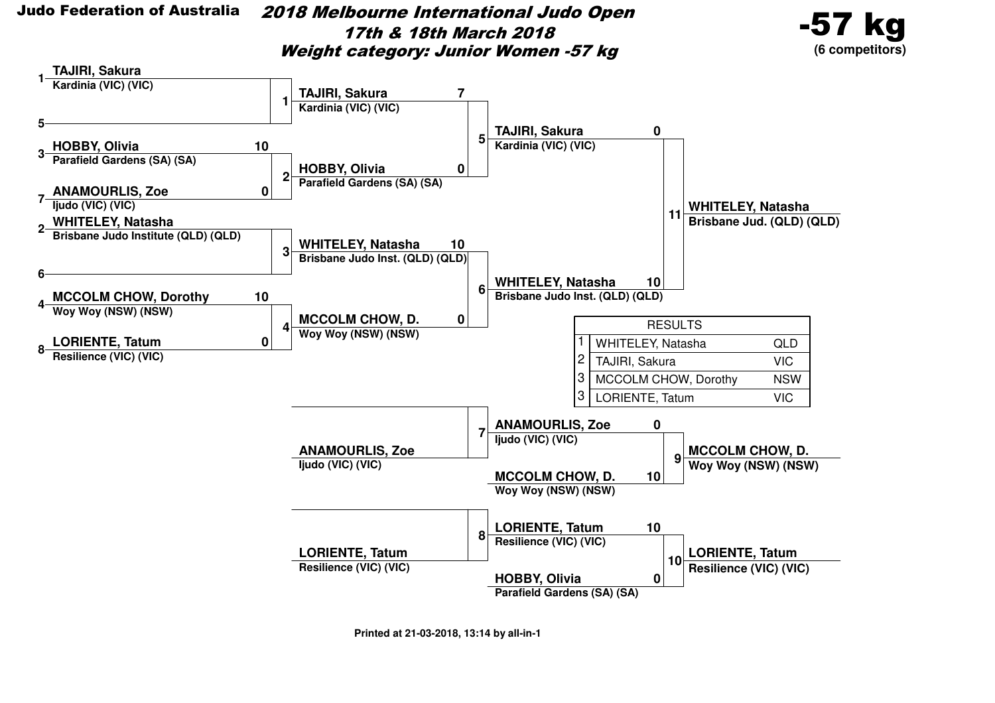2018 Melbourne International Judo Open17th & 18th March 2018Weight category: Junior Women -57 kg



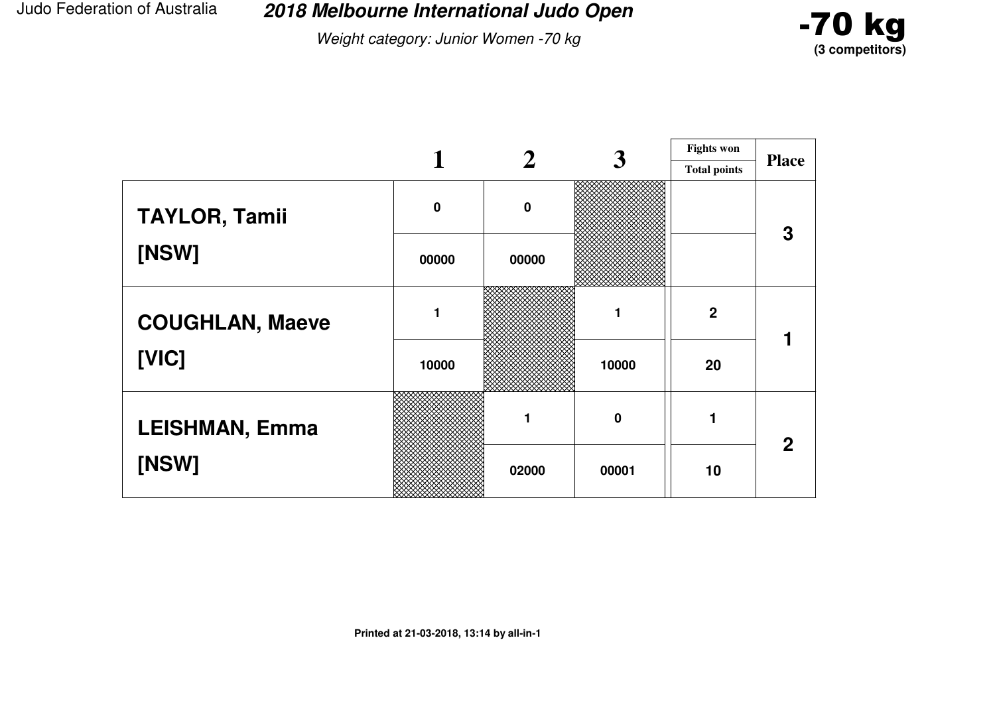**2018 Melbourne International Judo Open**

Weight category: Junior Women -70 kg



|                        |             |          | 3     | <b>Fights won</b>   |              |
|------------------------|-------------|----------|-------|---------------------|--------------|
|                        |             |          |       | <b>Total points</b> | <b>Place</b> |
| <b>TAYLOR, Tamii</b>   | $\mathbf 0$ | $\bf{0}$ |       |                     | 3            |
| [NSW]                  | 00000       | 00000    |       |                     |              |
| <b>COUGHLAN, Maeve</b> | 1           |          |       | $\boldsymbol{2}$    |              |
| [VIC]                  | 10000       |          | 10000 | 20                  |              |
| <b>LEISHMAN, Emma</b>  |             |          | 0     |                     | $\mathbf{2}$ |
| [NSW]                  |             | 02000    | 00001 | 10                  |              |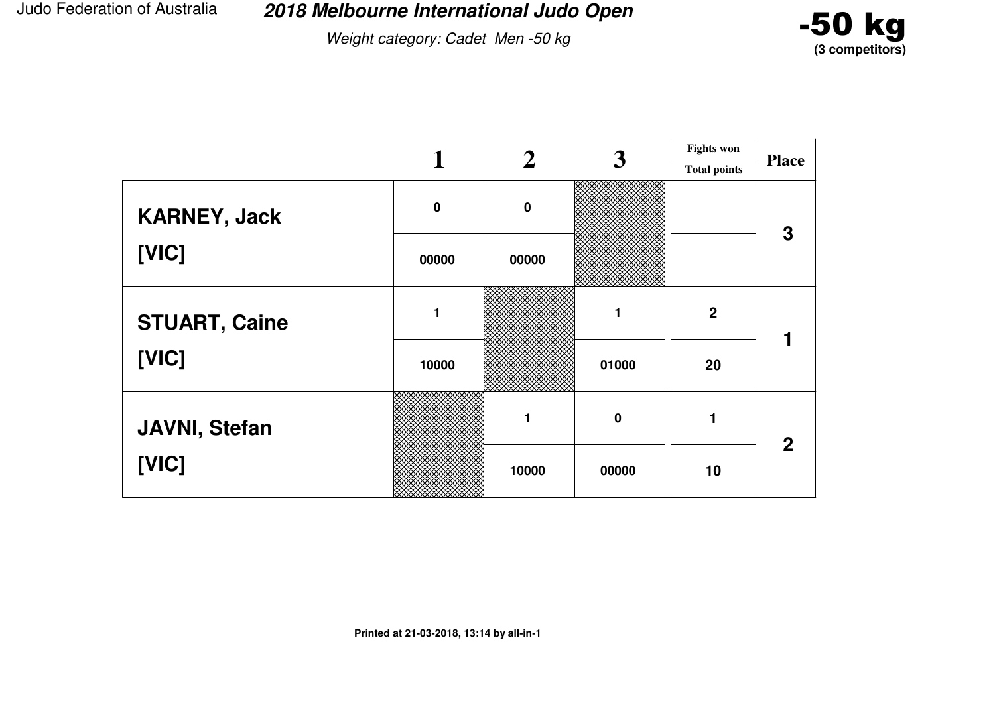Weight category: Cadet Men -50 kg



|                      |             |          | 3        | <b>Fights won</b>   |              |
|----------------------|-------------|----------|----------|---------------------|--------------|
|                      |             |          |          | <b>Total points</b> | <b>Place</b> |
| <b>KARNEY, Jack</b>  | $\mathbf 0$ | $\bf{0}$ |          |                     | 3            |
| [VIC]                | 00000       | 00000    |          |                     |              |
| <b>STUART, Caine</b> | 1           |          |          | $\overline{2}$      |              |
| [VIC]                | 10000       |          | 01000    | 20                  |              |
| <b>JAVNI, Stefan</b> |             | 1        | $\bf{0}$ |                     | $\mathbf 2$  |
| [VIC]                |             | 10000    | 00000    | 10                  |              |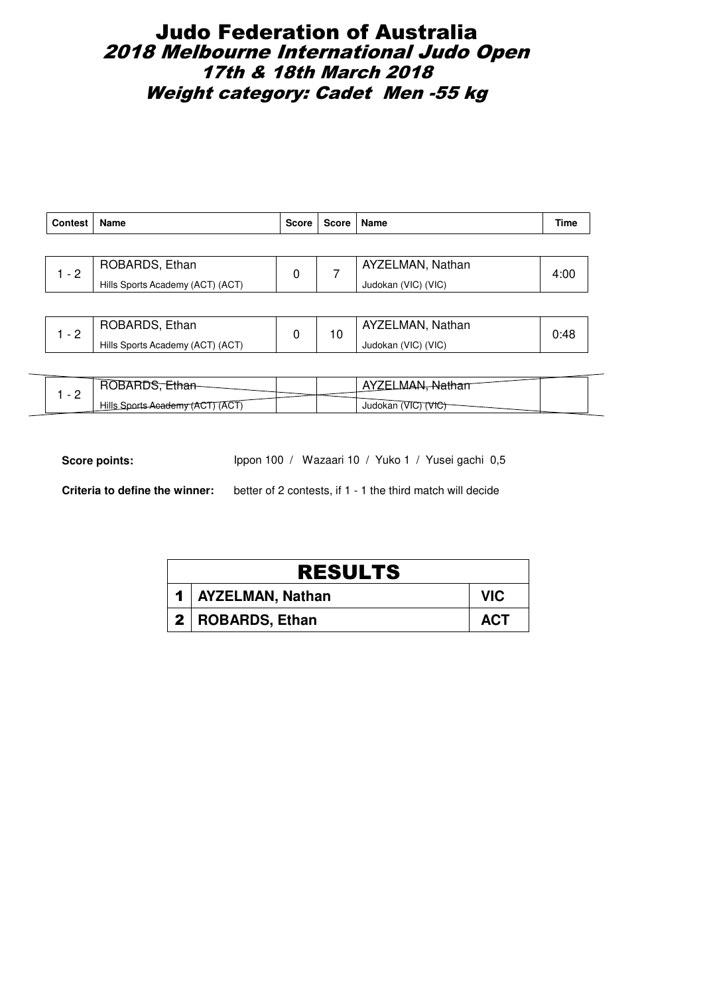# Judo Federation of Australia 2018 Melbourne International Judo Open 17th & 18th March 2018 Weight category: Cadet Men -55 kg

| <b>Contest</b> | Name                             | <b>Score</b> | Score   Name |                     | Time |                  |      |
|----------------|----------------------------------|--------------|--------------|---------------------|------|------------------|------|
|                |                                  |              |              |                     |      |                  |      |
| - 2            | ROBARDS, Ethan                   |              |              | 0                   |      | AYZELMAN, Nathan | 4:00 |
|                | Hills Sports Academy (ACT) (ACT) |              |              | Judokan (VIC) (VIC) |      |                  |      |

| ROBARDS, Ethan                   |  | AYZELMAN, Nathan    | 0:48 |
|----------------------------------|--|---------------------|------|
| Hills Sports Academy (ACT) (ACT) |  | Judokan (VIC) (VIC) |      |

| HU.<br>JRARI                       |  |                          |  |
|------------------------------------|--|--------------------------|--|
| Hills Sports Academy (ACT)<br>7ACT |  | WIC,<br>Judokan<br>'VIC) |  |

Score points: Ippon 100 / Wazaari 10 / Yuko 1 / Yusei gachi 0,5

| <b>RESULTS</b>       |            |
|----------------------|------------|
| 1   AYZELMAN, Nathan | VIC.       |
| 2   ROBARDS, Ethan   | <b>ACT</b> |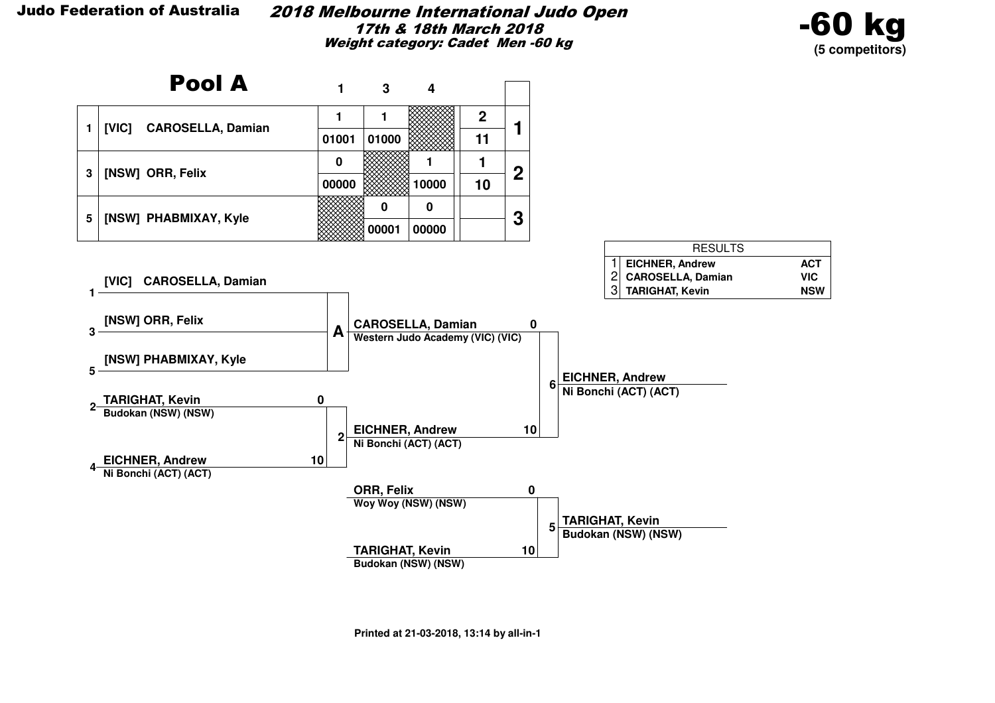#### 2018 Melbourne International Judo Open17th & 18th March 2018Weight category: Cadet Men -60 kg



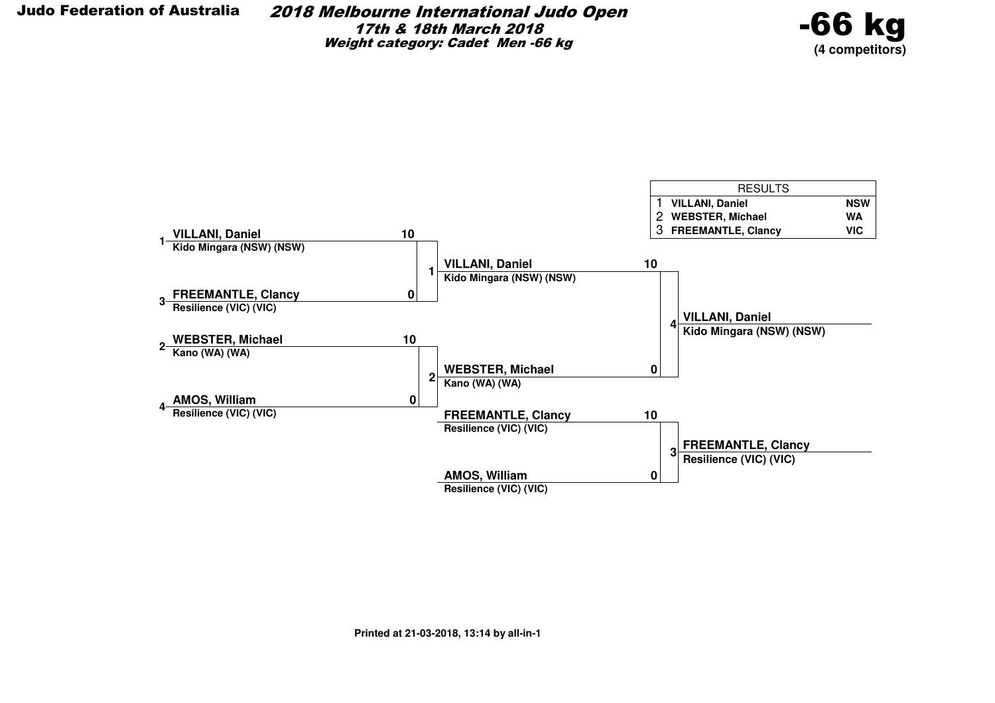2018 Melbourne International Judo Open17th & 18th March 2018Weight category: Cadet Men -66 kg



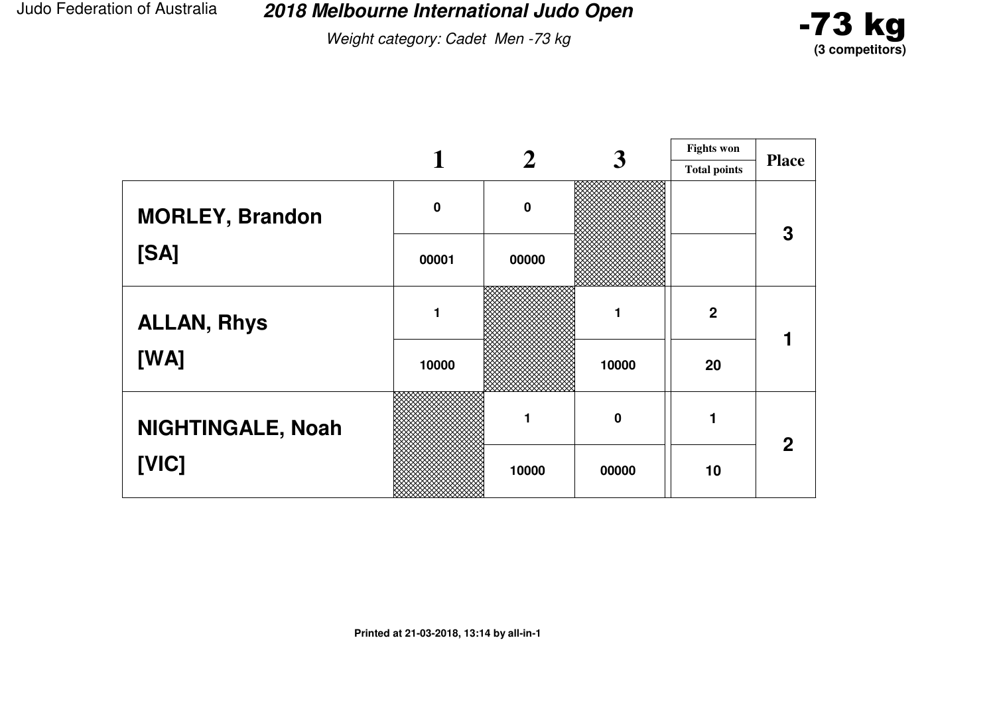**2018 Melbourne International Judo Open**

Weight category: Cadet Men -73 kg



|                          |             |             | 3        | <b>Fights won</b>   |              |
|--------------------------|-------------|-------------|----------|---------------------|--------------|
|                          |             |             |          | <b>Total points</b> | <b>Place</b> |
| <b>MORLEY, Brandon</b>   | $\mathbf 0$ | $\mathbf 0$ |          |                     | 3            |
| [SA]                     | 00001       | 00000       |          |                     |              |
| <b>ALLAN, Rhys</b>       |             |             |          | $\overline{2}$      |              |
| [WA]                     | 10000       |             | 10000    | 20                  |              |
| <b>NIGHTINGALE, Noah</b> |             |             | $\bf{0}$ |                     | $\mathbf 2$  |
| [VIC]                    |             | 10000       | 00000    | 10                  |              |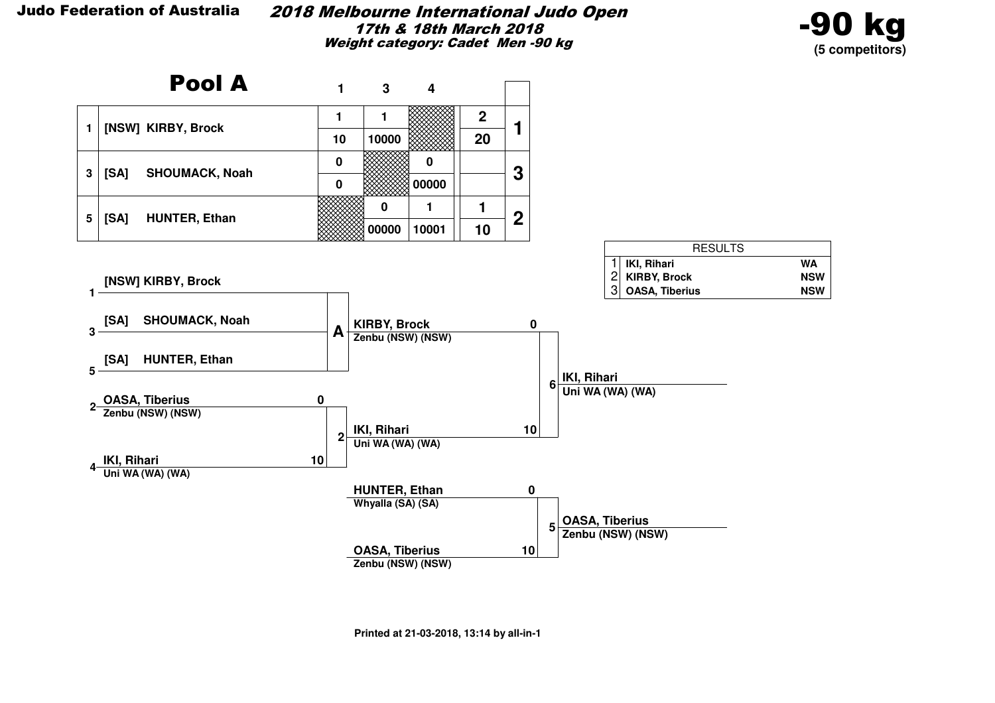#### 2018 Melbourne International Judo Open17th & 18th March 2018Weight category: Cadet Men -90 kg



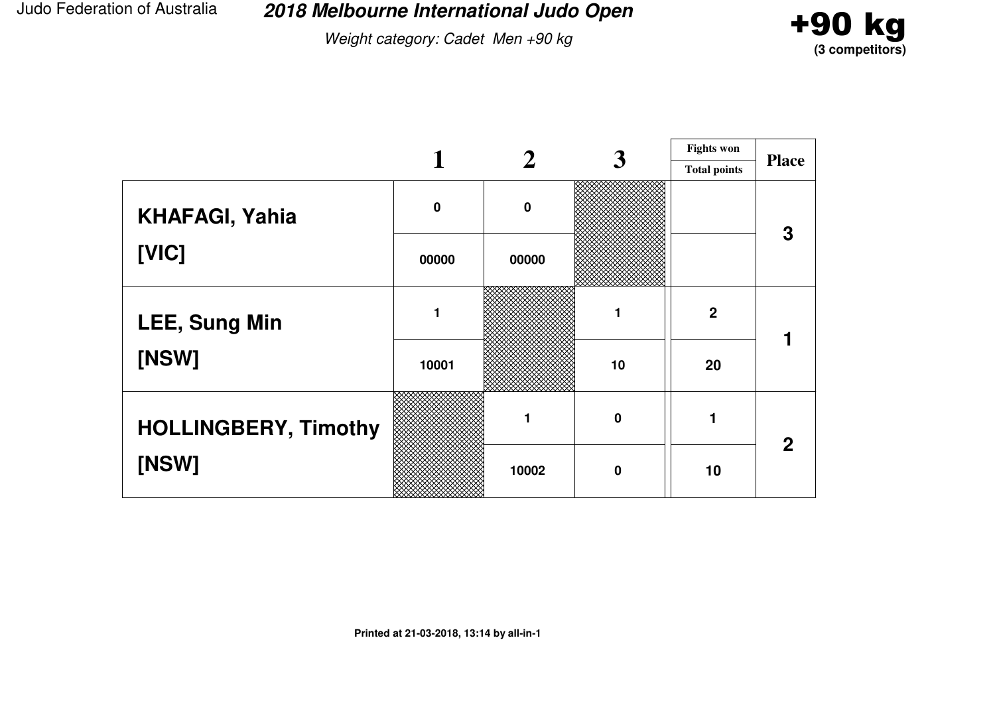Weight category: Cadet Men +90 kg



|                             |             |             | 3                | <b>Fights won</b>   |              |
|-----------------------------|-------------|-------------|------------------|---------------------|--------------|
|                             |             |             |                  | <b>Total points</b> | <b>Place</b> |
| <b>KHAFAGI, Yahia</b>       | $\mathbf 0$ | $\mathbf 0$ |                  |                     | 3            |
| [VIC]                       | 00000       | 00000       |                  |                     |              |
| <b>LEE, Sung Min</b>        |             |             |                  | $\boldsymbol{2}$    |              |
| [NSW]                       | 10001       |             | 10               | 20                  |              |
| <b>HOLLINGBERY, Timothy</b> |             | 1           | $\boldsymbol{0}$ |                     | $\mathbf{2}$ |
| [NSW]                       |             | 10002       | $\mathbf 0$      | 10                  |              |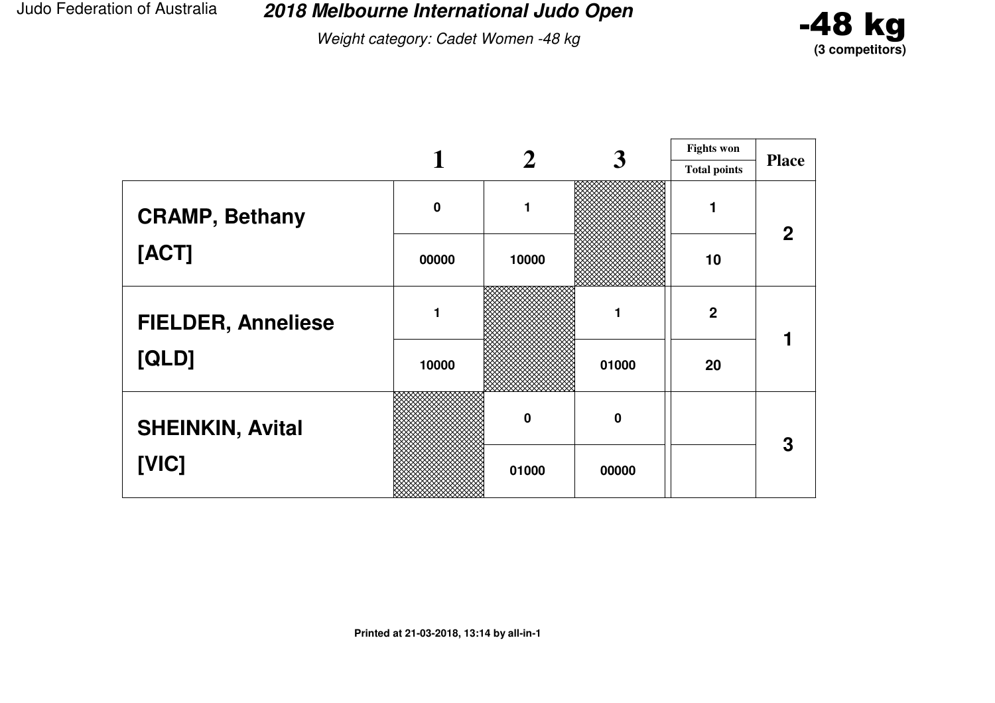**2018 Melbourne International Judo Open**

Weight category: Cadet Women -48 kg



|                           |             |             | 3                | <b>Fights won</b>   |              |
|---------------------------|-------------|-------------|------------------|---------------------|--------------|
|                           |             |             |                  | <b>Total points</b> | <b>Place</b> |
| <b>CRAMP, Bethany</b>     | $\mathbf 0$ | 1           |                  | 1                   | $\mathbf{2}$ |
| [ACT]                     | 00000       | 10000       |                  | 10                  |              |
| <b>FIELDER, Anneliese</b> |             |             |                  | $\mathbf{2}$        |              |
| [QLD]                     | 10000       |             | 01000            | 20                  |              |
| <b>SHEINKIN, Avital</b>   |             | $\mathbf 0$ | $\boldsymbol{0}$ |                     | 3            |
| [VIC]                     |             | 01000       | 00000            |                     |              |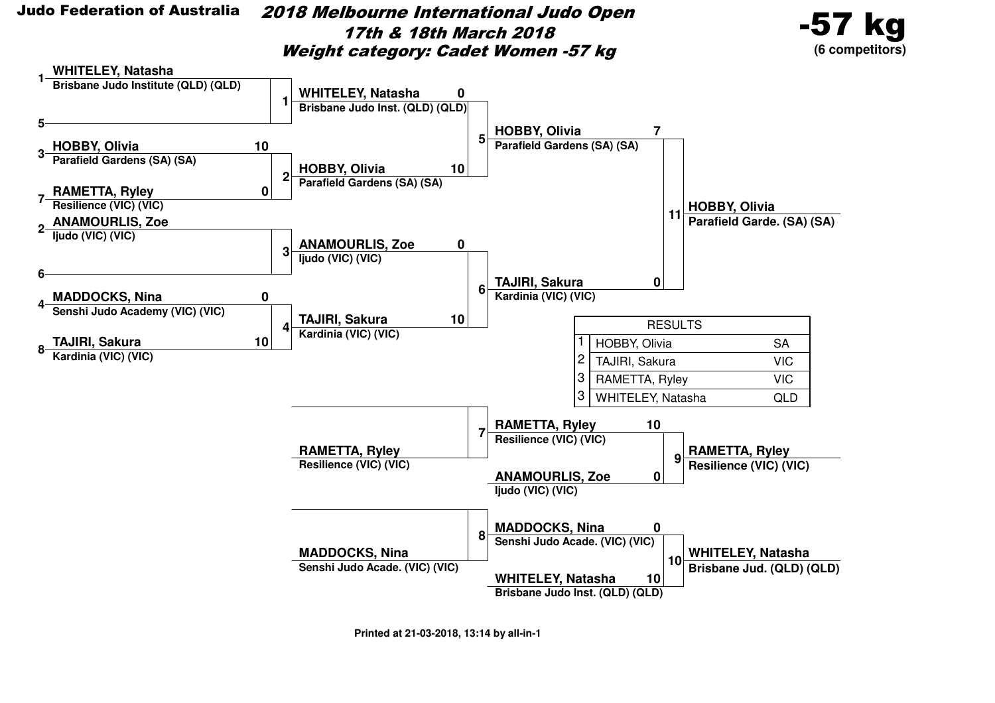

 2018 Melbourne International Judo Open17th & 18th March 2018Weight category: Cadet Women -57 kg



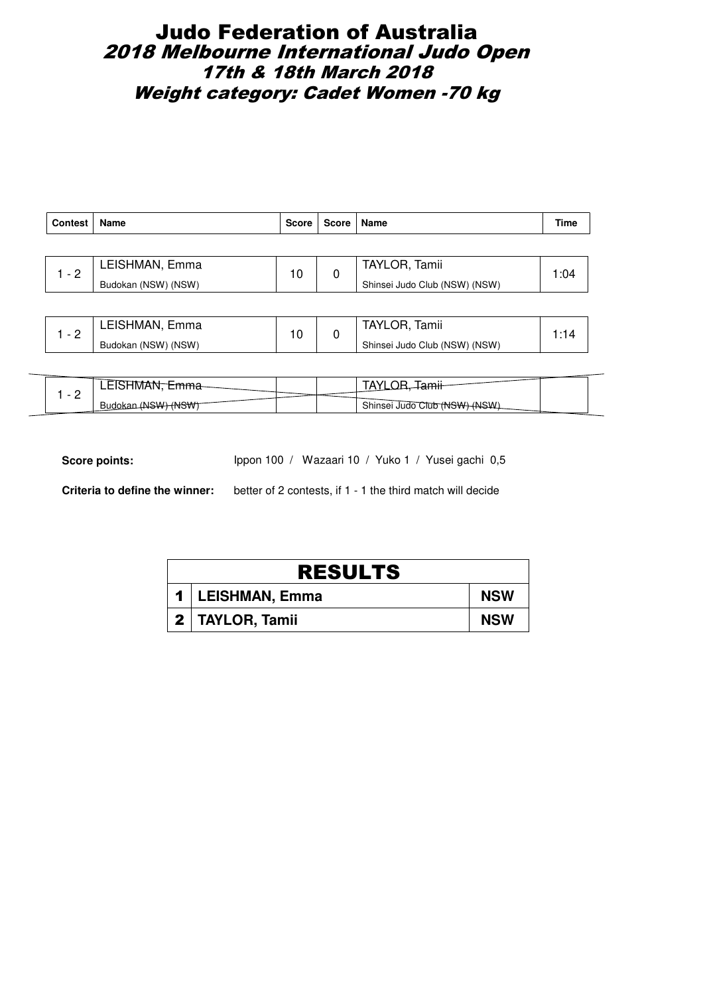### Judo Federation of Australia 2018 Melbourne International Judo Open 17th & 18th March 2018 Weight category: Cadet Women -70 kg

| <b>Contest</b> | Name                | <b>Score</b> | Score   Name |                               | Time |  |
|----------------|---------------------|--------------|--------------|-------------------------------|------|--|
|                |                     |              |              |                               |      |  |
| $-2$           | LEISHMAN, Emma      | 10           | 0            | TAYLOR, Tamii                 | 1:04 |  |
|                | Budokan (NSW) (NSW) |              |              | Shinsei Judo Club (NSW) (NSW) |      |  |
|                |                     |              |              |                               |      |  |

|  | LEISHMAN, Emma      |  | Tamii<br>TAYLOR.              |  |
|--|---------------------|--|-------------------------------|--|
|  | Budokan (NSW) (NSW) |  | Shinsei Judo Club (NSW) (NSW) |  |

| $\overline{\phantom{0}}$ | IVI)<br>----     |  | $\cdot$<br>.                           |  |
|--------------------------|------------------|--|----------------------------------------|--|
| -                        | <b>Budol</b><br> |  | Shinsei Judo Club (NSW)<br><b>ANSW</b> |  |

Score points: Ippon 100 / Wazaari 10 / Yuko 1 / Yusei gachi 0,5

| <b>RESULTS</b>     |            |
|--------------------|------------|
| 1   LEISHMAN, Emma | <b>NSW</b> |
| 2   TAYLOR, Tamii  | <b>NSW</b> |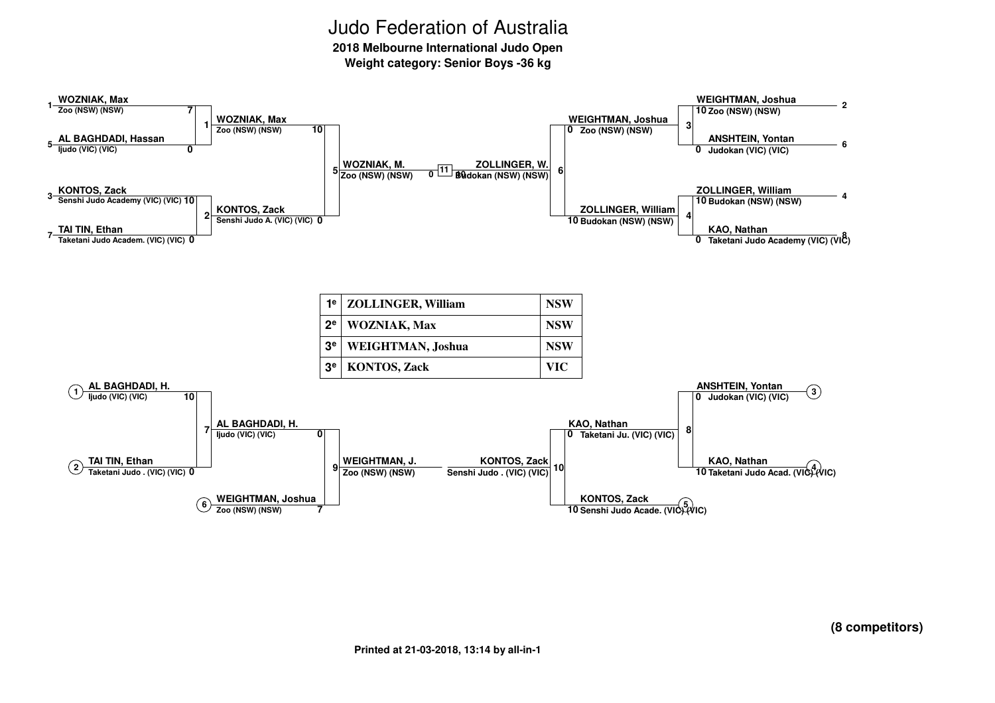**2018 Melbourne International Judo Open**

**Weight category: Senior Boys -36 kg**

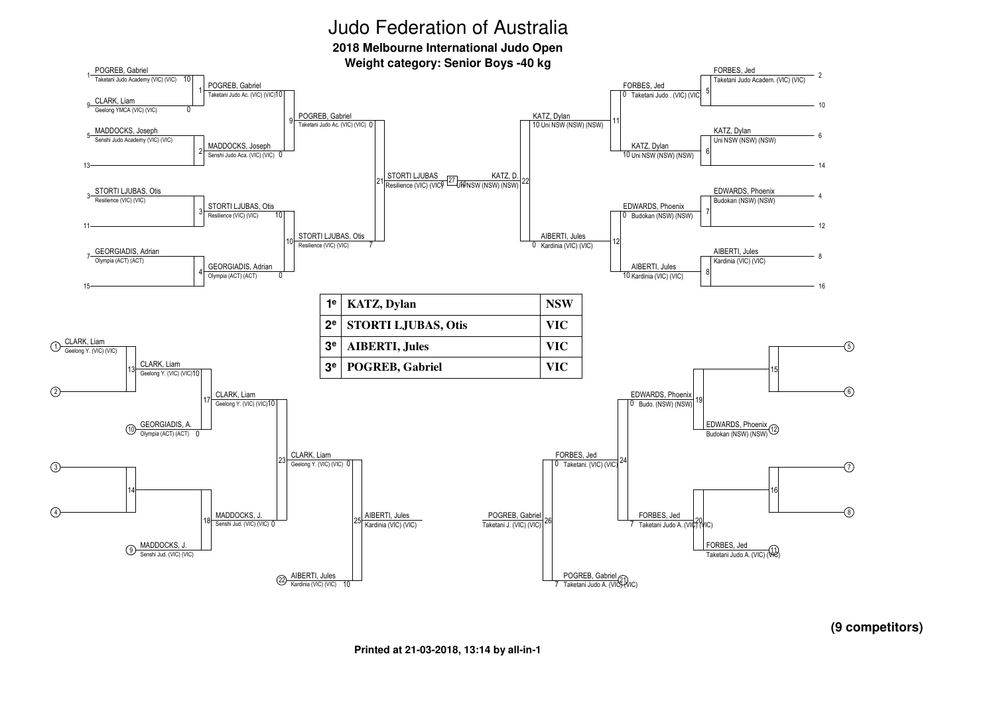**2018 Melbourne International Judo Open**

**Weight category: Senior Boys -40 kg**



**(9 competitors)**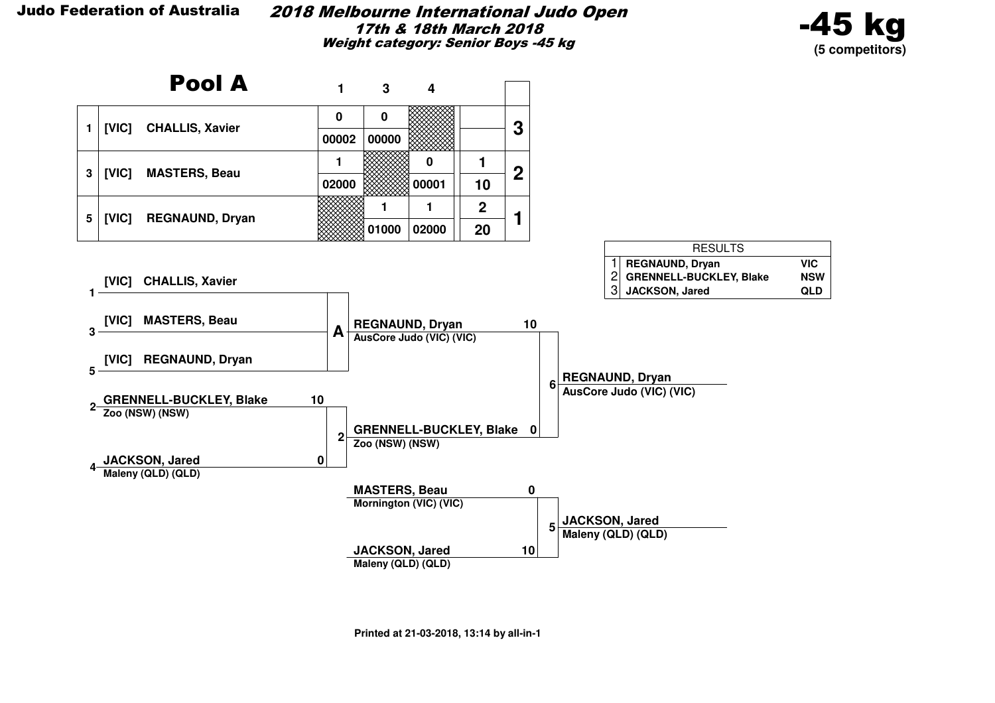#### 2018 Melbourne International Judo Open17th & 18th March 2018Weight category: Senior Boys -45 kg



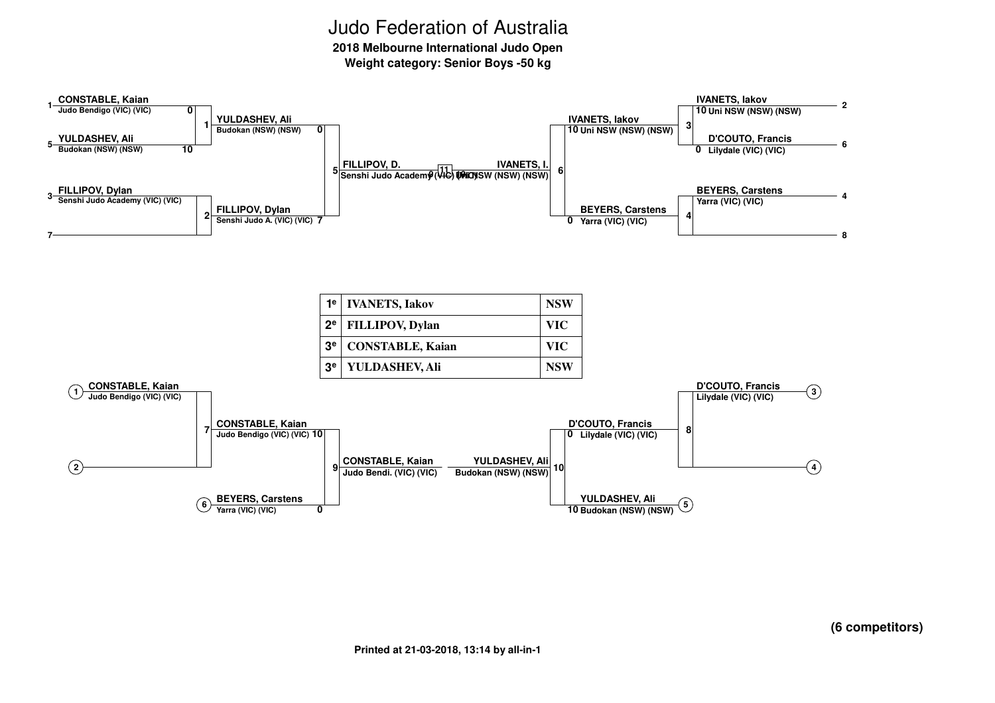**2018 Melbourne International Judo Open**

**Weight category: Senior Boys -50 kg**

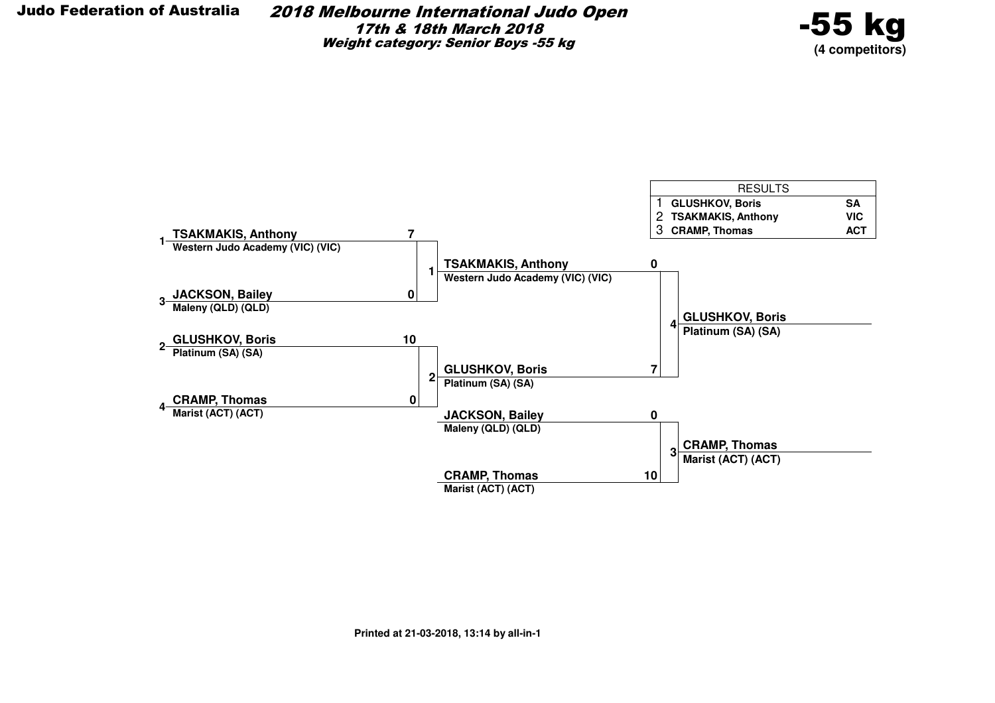2018 Melbourne International Judo Open17th & 18th March 2018Weight category: Senior Boys -55 kg



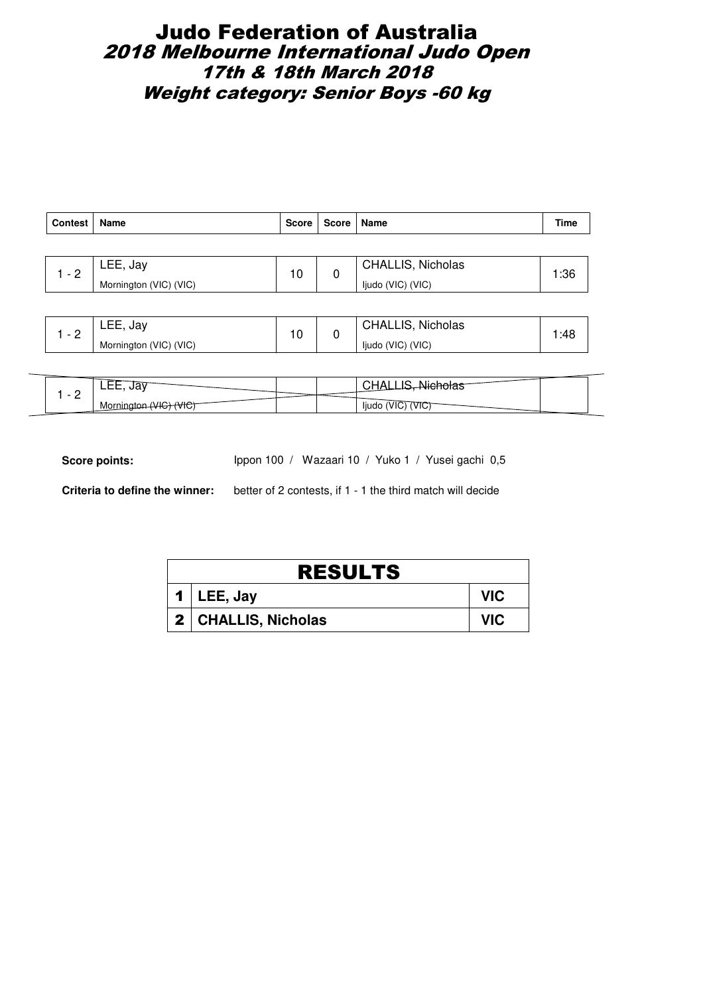# Judo Federation of Australia 2018 Melbourne International Judo Open 17th & 18th March 2018 Weight category: Senior Boys -60 kg

| <b>Contest</b> | <b>Name</b>            | Score | Score   Name |                          | Time |
|----------------|------------------------|-------|--------------|--------------------------|------|
|                |                        |       |              |                          |      |
| $-2$           | $LEE$ , Jay            | 10    |              | <b>CHALLIS, Nicholas</b> | 1:36 |
|                | Mornington (VIC) (VIC) |       |              | ljudo (VIC) (VIC)        |      |

| ⌒        | Jav<br>--<br>ب وطاطات ا | $\overline{ }$ | <b>CHALLIS, Nicholas</b> | :48 |
|----------|-------------------------|----------------|--------------------------|-----|
| <u>_</u> | Mornington (VIC) (VIC)  | نا             | ljudo (VIC) (VIC)        |     |

| ua<br>.<br>$\overline{\phantom{0}}$ |                         |
|-------------------------------------|-------------------------|
| -<br>Mornu<br>VIV.                  | ljudo<br>'VIU.<br>'VI∪. |

Score points: Ippon 100 / Wazaari 10 / Yuko 1 / Yusei gachi 0,5

| <b>RESULTS</b>        |            |  |  |  |
|-----------------------|------------|--|--|--|
| 1   LEE, Jay          | <b>VIC</b> |  |  |  |
| 2   CHALLIS, Nicholas | VIC.       |  |  |  |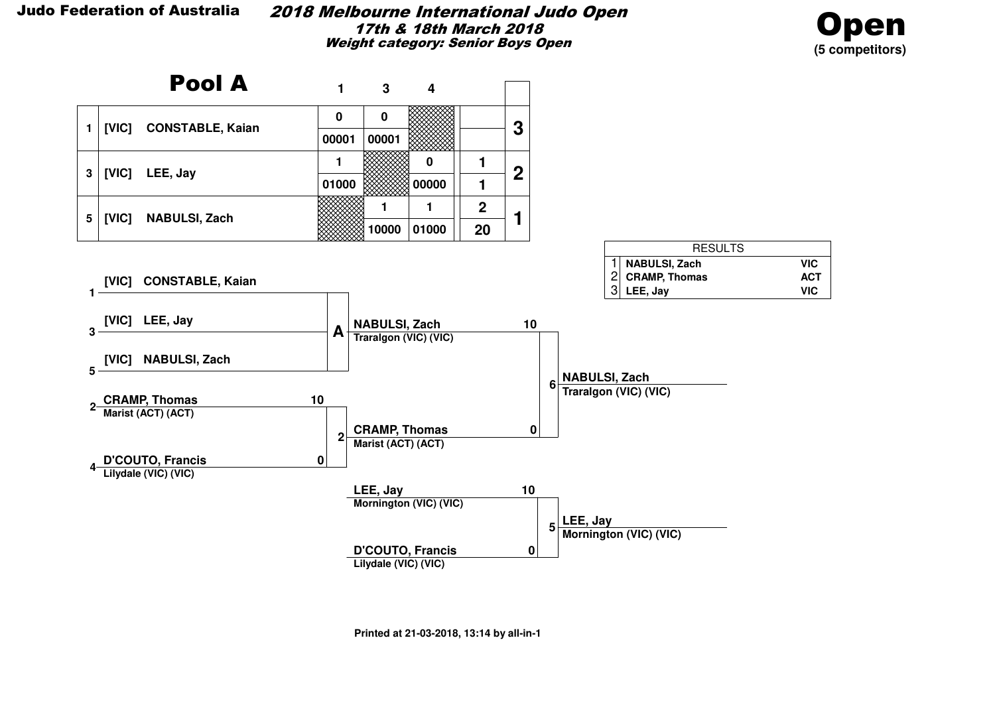#### 2018 Melbourne International Judo Open17th & 18th March 2018Weight category: Senior Boys Open



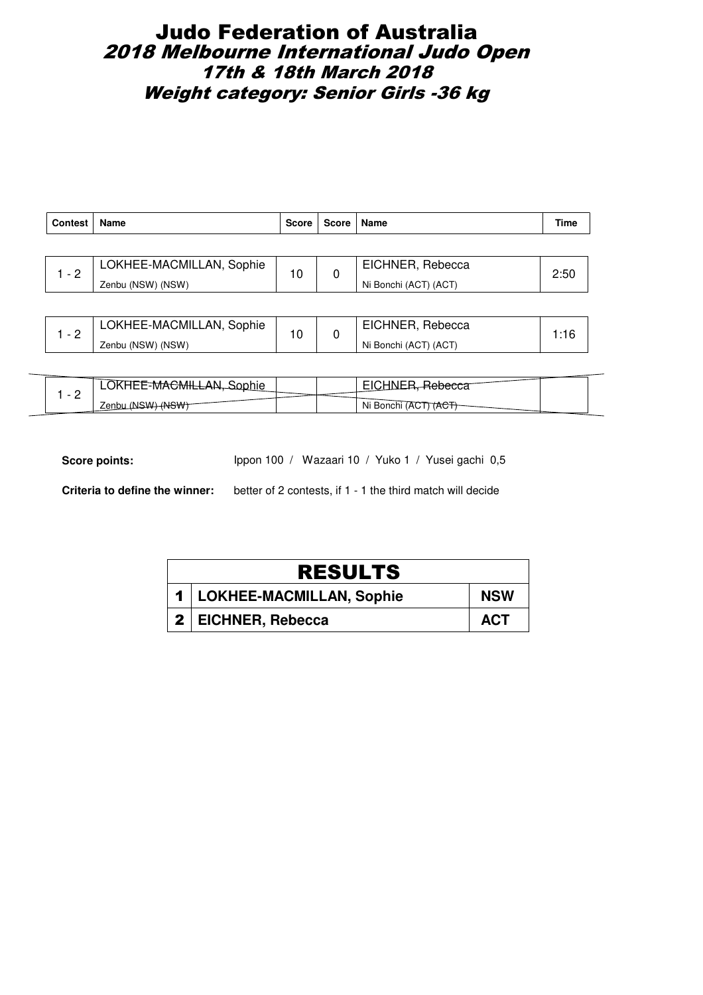### Judo Federation of Australia 2018 Melbourne International Judo Open 17th & 18th March 2018 Weight category: Senior Girls -36 kg

| <b>Contest</b> | Name                     | <b>Score</b> | <b>Score</b> | Name                  | Time |
|----------------|--------------------------|--------------|--------------|-----------------------|------|
|                |                          |              |              |                       |      |
| $1 - 2$        | LOKHEE-MACMILLAN, Sophie | 10           | 0            | EICHNER, Rebecca      | 2:50 |
|                | Zenbu (NSW) (NSW)        |              |              | Ni Bonchi (ACT) (ACT) |      |
|                |                          |              |              |                       |      |
|                | LOKHEE-MACMILLAN, Sophie | 10           |              | EICHNER, Rebecca      | 1:16 |
| $1 - 2$        | Zenbu (NSW) (NSW)        |              | 0            | Ni Bonchi (ACT) (ACT) |      |

|   | ۱и                                       |           |  |
|---|------------------------------------------|-----------|--|
| - | $\sim$<br>$\mathbf{u}$<br><b>Lei IDU</b> | Ni Bonchi |  |

Score points: Ippon 100 / Wazaari 10 / Yuko 1 / Yusei gachi 0,5

| <b>RESULTS</b>               |            |
|------------------------------|------------|
| 1   LOKHEE-MACMILLAN, Sophie | <b>NSW</b> |
| 2   EICHNER, Rebecca         | <b>ACT</b> |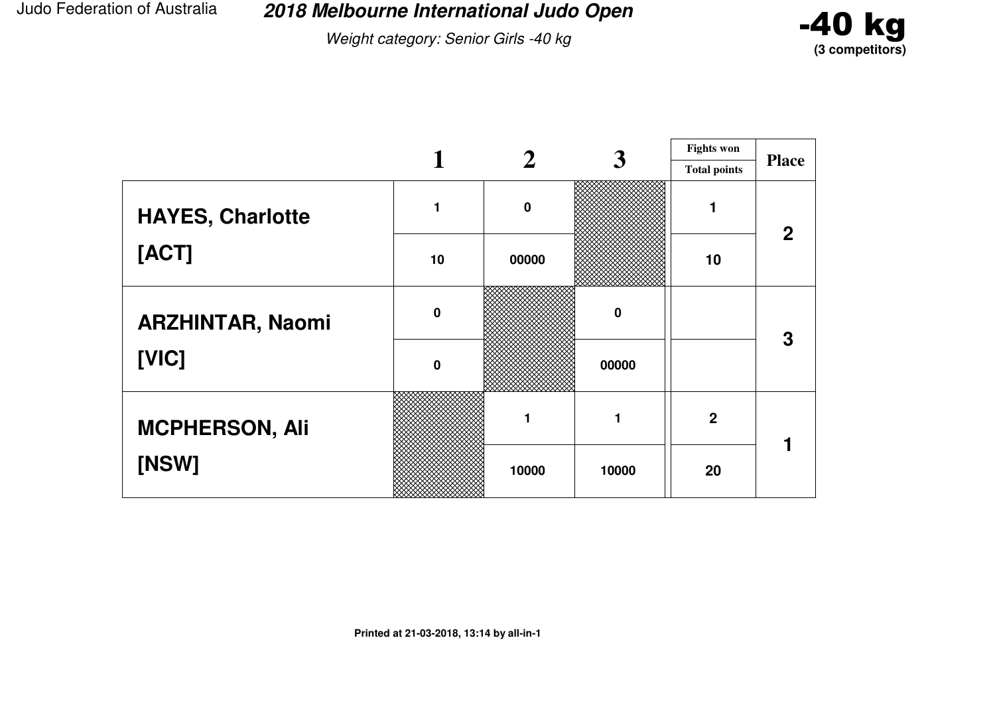Weight category: Senior Girls -40 kg



|                         |             |             | 3        | <b>Fights won</b>   |              |
|-------------------------|-------------|-------------|----------|---------------------|--------------|
|                         |             |             |          | <b>Total points</b> | <b>Place</b> |
| <b>HAYES, Charlotte</b> |             | $\mathbf 0$ |          |                     | $\mathbf 2$  |
| [ACT]                   | 10          | 00000       |          | 10                  |              |
| <b>ARZHINTAR, Naomi</b> | $\mathbf 0$ |             | $\bf{0}$ |                     | 3            |
| [VIC]                   | $\mathbf 0$ |             | 00000    |                     |              |
| <b>MCPHERSON, Ali</b>   |             | 1           |          | $\overline{2}$      |              |
| [NSW]                   |             | 10000       | 10000    | 20                  |              |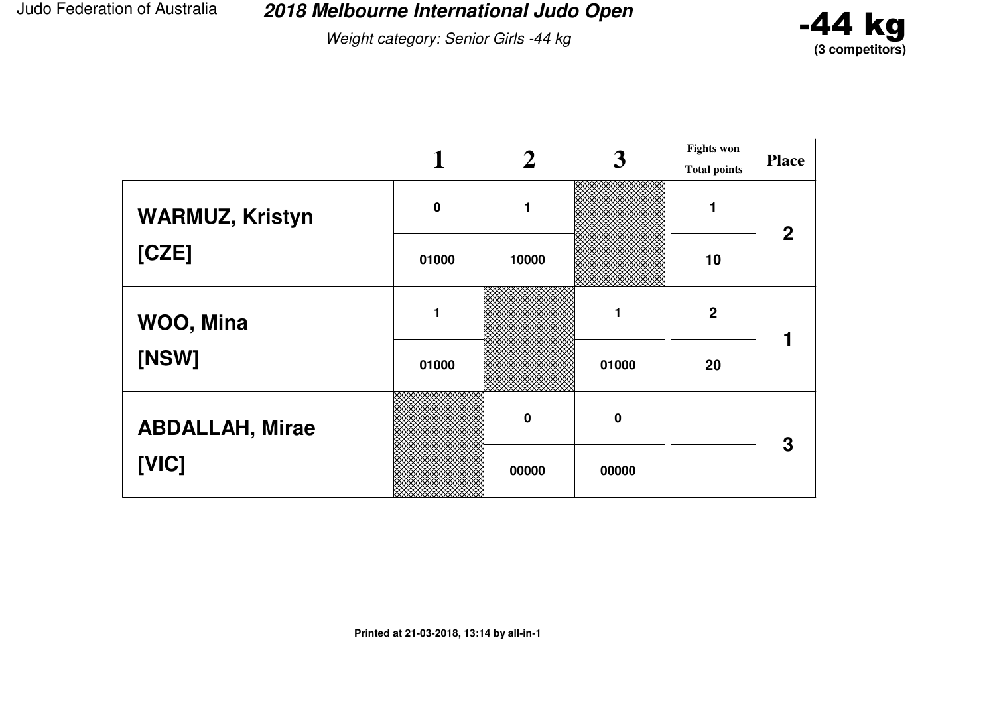Weight category: Senior Girls -44 kg



|                        |          |                  | 3           | <b>Fights won</b>   |              |
|------------------------|----------|------------------|-------------|---------------------|--------------|
|                        |          |                  |             | <b>Total points</b> | <b>Place</b> |
| <b>WARMUZ, Kristyn</b> | $\bf{0}$ | 1                |             |                     | $\mathbf{2}$ |
| [CZE]                  | 01000    | 10000            |             | 10                  |              |
| WOO, Mina              |          |                  |             | $\mathbf{2}$        |              |
| [NSW]                  | 01000    |                  | 01000       | 20                  |              |
| <b>ABDALLAH, Mirae</b> |          | $\boldsymbol{0}$ | $\mathbf 0$ |                     | 3            |
| [VIC]                  |          | 00000            | 00000       |                     |              |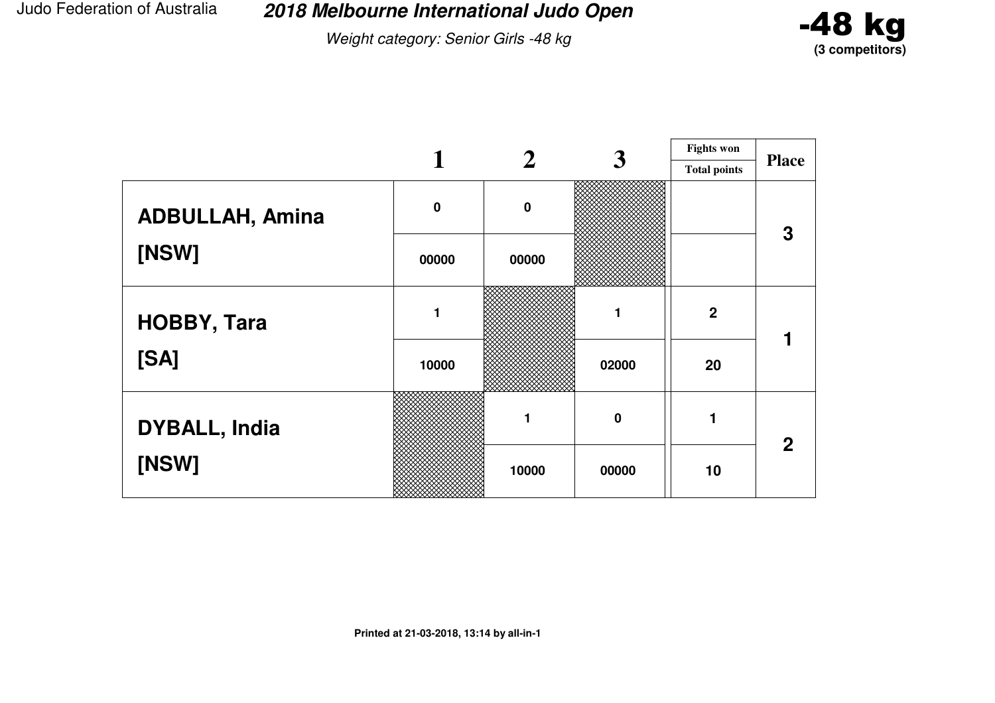Weight category: Senior Girls -48 kg



|                        |             |             | 3                | <b>Fights won</b>   |              |
|------------------------|-------------|-------------|------------------|---------------------|--------------|
|                        |             |             |                  | <b>Total points</b> | <b>Place</b> |
| <b>ADBULLAH, Amina</b> | $\mathbf 0$ | $\mathbf 0$ |                  |                     | 3            |
| [NSW]                  | 00000       | 00000       |                  |                     |              |
| <b>HOBBY, Tara</b>     |             |             |                  | $\mathbf{2}$        |              |
| [SA]                   | 10000       |             | 02000            | 20                  |              |
| <b>DYBALL, India</b>   |             | 1           | $\boldsymbol{0}$ |                     | $\mathbf{2}$ |
| [NSW]                  |             | 10000       | 00000            | 10                  |              |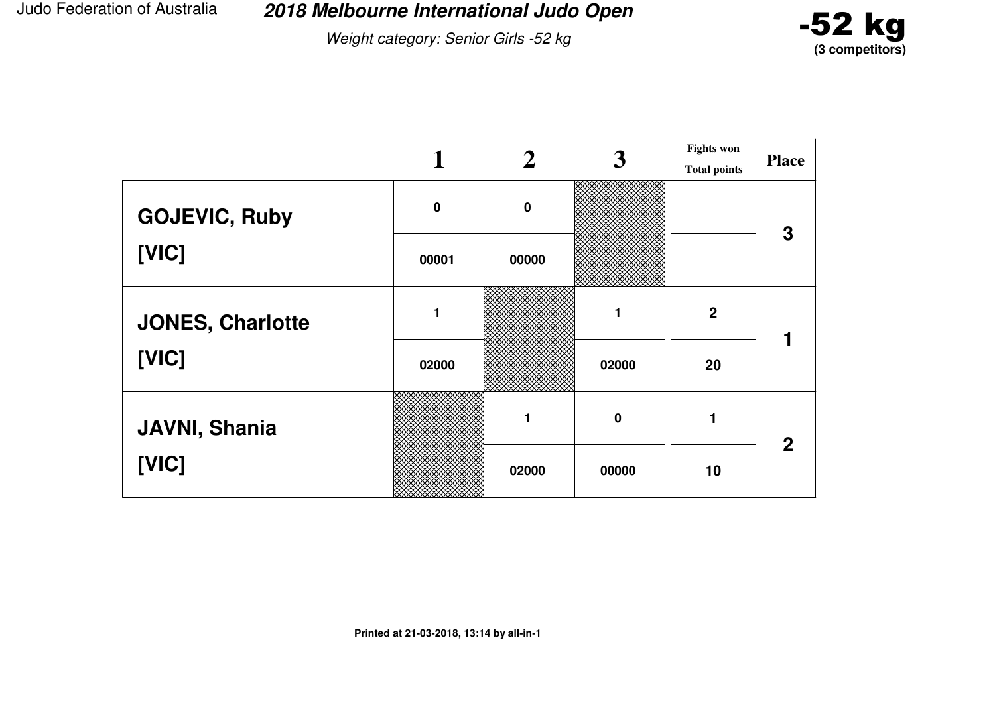Weight category: Senior Girls -52 kg



|                         |             | $\mathbf 2$ | 3        | <b>Fights won</b>   | <b>Place</b> |
|-------------------------|-------------|-------------|----------|---------------------|--------------|
|                         |             |             |          | <b>Total points</b> |              |
| <b>GOJEVIC, Ruby</b>    | $\mathbf 0$ | $\bf{0}$    |          |                     | 3            |
| [VIC]                   | 00001       | 00000       |          |                     |              |
| <b>JONES, Charlotte</b> |             |             |          | $\overline{2}$      |              |
| [VIC]                   | 02000       |             | 02000    | 20                  |              |
| <b>JAVNI, Shania</b>    |             |             | $\bf{0}$ |                     | $\mathbf 2$  |
| [VIC]                   |             | 02000       | 00000    | 10                  |              |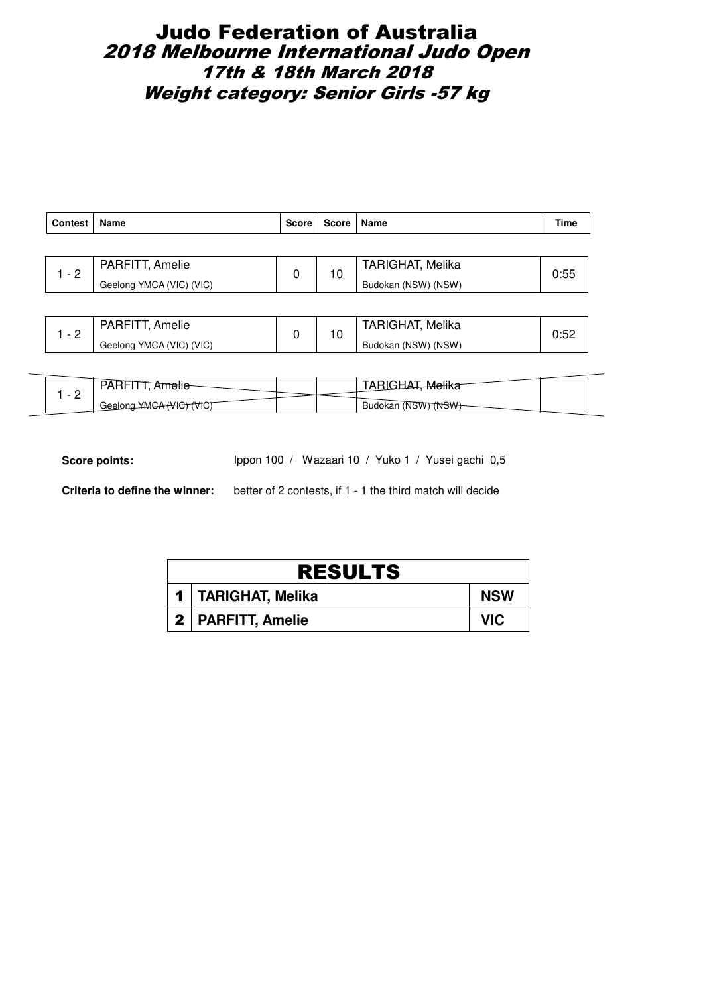# Judo Federation of Australia 2018 Melbourne International Judo Open 17th & 18th March 2018 Weight category: Senior Girls -57 kg

| <b>Contest</b> | Name                     | <b>Score</b> | Score   Name |                         | Time |
|----------------|--------------------------|--------------|--------------|-------------------------|------|
|                |                          |              |              |                         |      |
| $-2$           | PARFITT, Amelie          | 0            | 10           | <b>TARIGHAT, Melika</b> | 0:55 |
|                | Geelong YMCA (VIC) (VIC) |              |              | Budokan (NSW) (NSW)     |      |
|                |                          |              |              |                         |      |

| PARFITT, Amelie          | . v | <b>TARIGHAT, Melika</b> |  |
|--------------------------|-----|-------------------------|--|
| Geelong YMCA (VIC) (VIC) |     | Budokan (NSW) (NSW)     |  |

| اممہ<br>vnsi r<br>TVIG)<br>VTU) |  | ™S₩<br>(NSWT<br>Budokan |  |
|---------------------------------|--|-------------------------|--|

Score points: Ippon 100 / Wazaari 10 / Yuko 1 / Yusei gachi 0,5

| <b>RESULTS</b>       |            |
|----------------------|------------|
| 1   TARIGHAT, Melika | <b>NSW</b> |
| 2   PARFITT, Amelie  | VIC.       |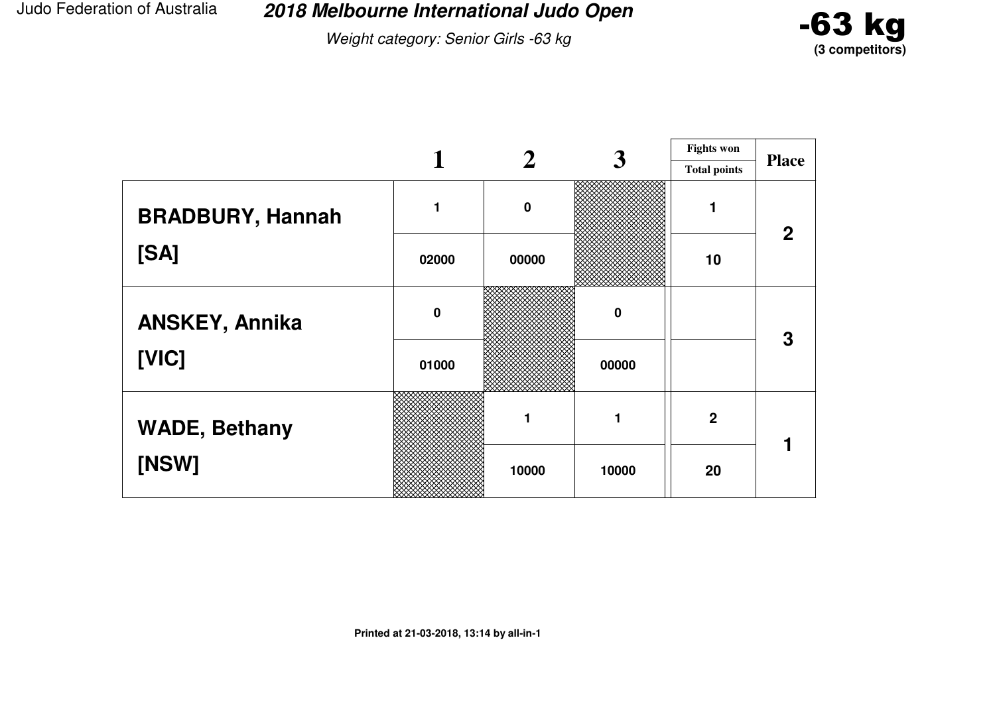Weight category: Senior Girls -63 kg



|                         |             |             | 3        | <b>Fights won</b>   |                |
|-------------------------|-------------|-------------|----------|---------------------|----------------|
|                         |             |             |          | <b>Total points</b> | <b>Place</b>   |
| <b>BRADBURY, Hannah</b> |             | $\mathbf 0$ |          |                     | $\overline{2}$ |
| [SA]                    | 02000       | 00000       |          | 10                  |                |
| <b>ANSKEY, Annika</b>   | $\mathbf 0$ |             | $\bf{0}$ |                     | 3              |
| [VIC]                   | 01000       |             | 00000    |                     |                |
| <b>WADE, Bethany</b>    |             | 1           | 1        | $\boldsymbol{2}$    |                |
| [NSW]                   |             | 10000       | 10000    | 20                  |                |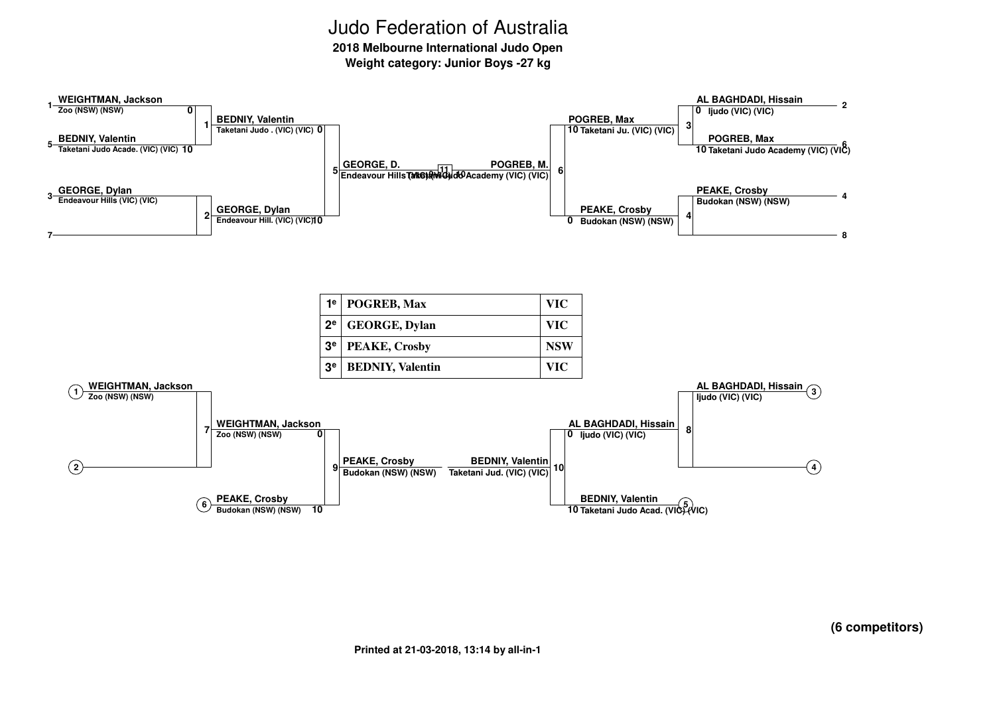**2018 Melbourne International Judo Open**

**Weight category: Junior Boys -27 kg**

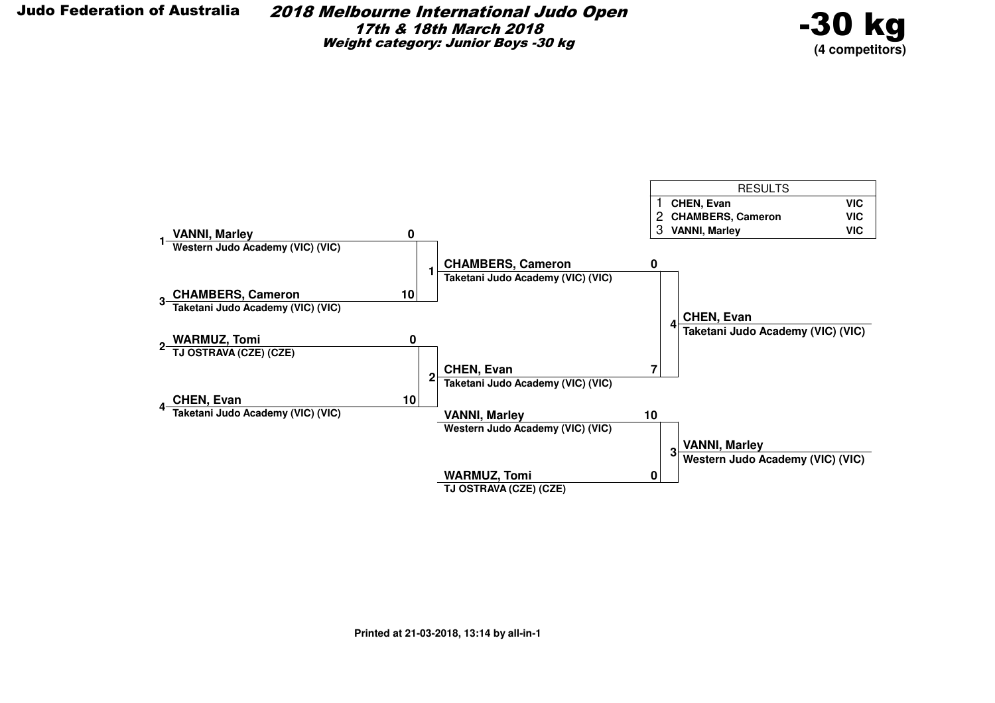2018 Melbourne International Judo Open17th & 18th March 2018Weight category: Junior Boys -30 kg



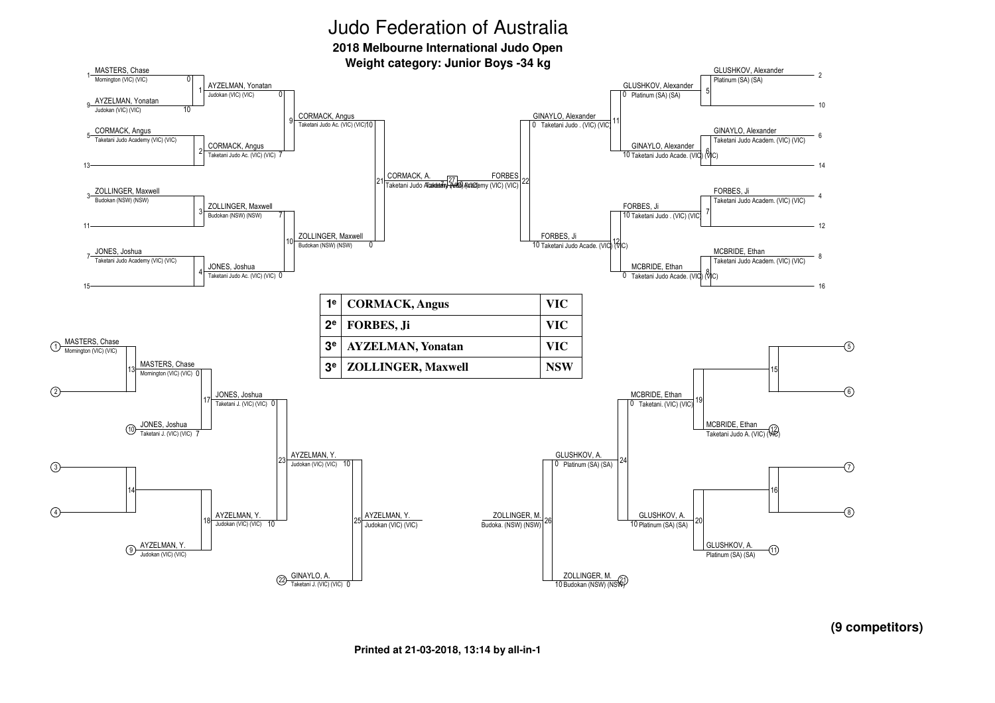**2018 Melbourne International Judo Open**

**Weight category: Junior Boys -34 kg**



**(9 competitors)**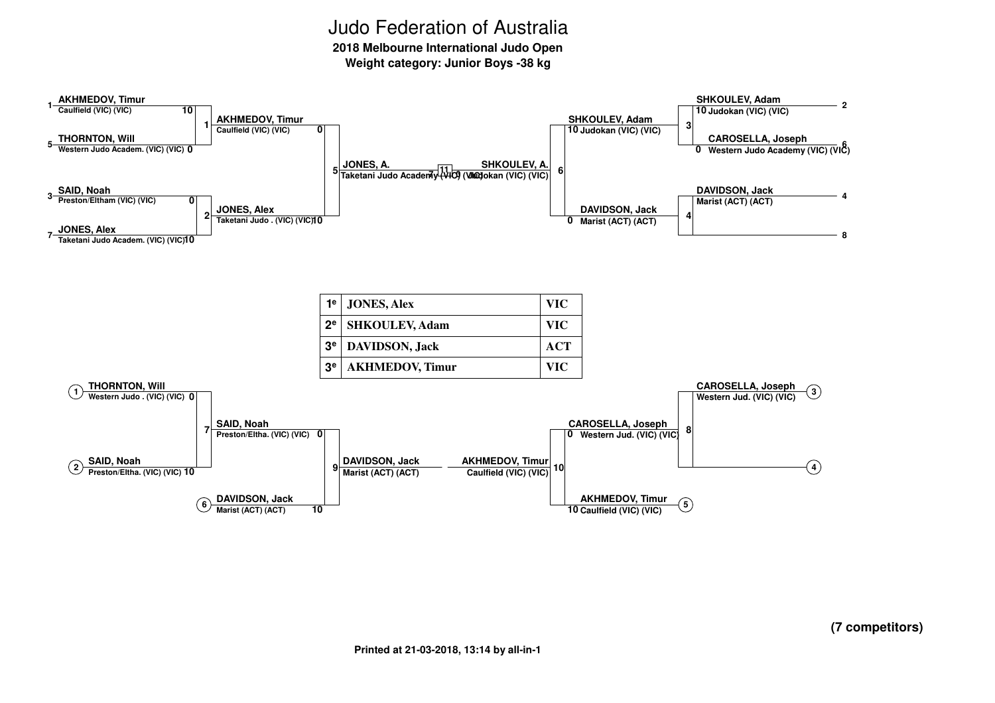**2018 Melbourne International Judo Open**

**Weight category: Junior Boys -38 kg**

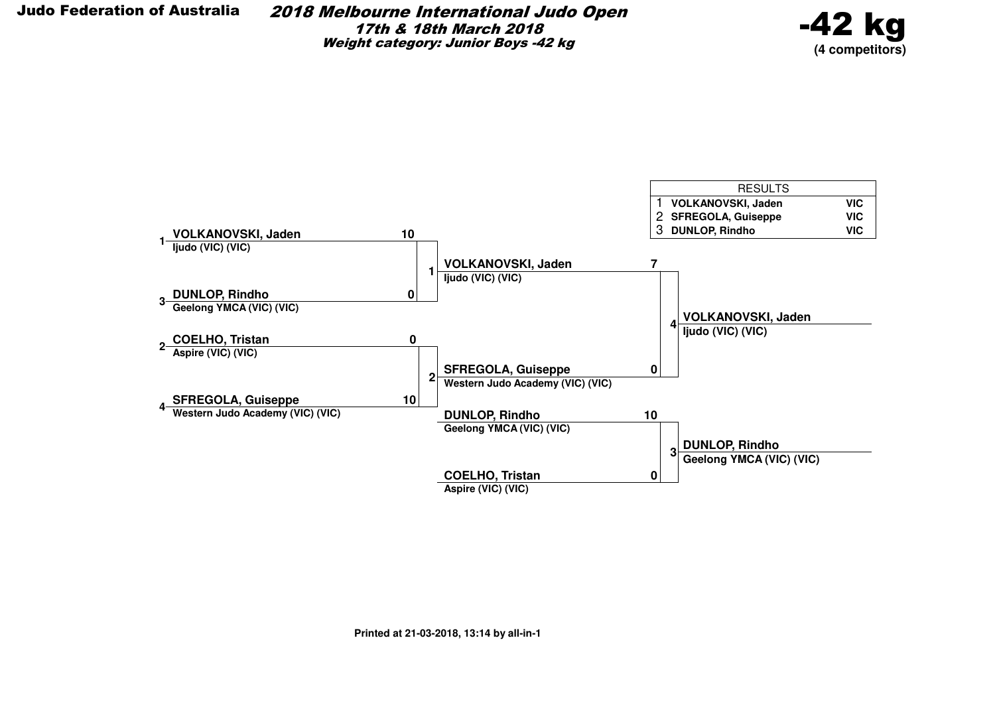2018 Melbourne International Judo Open17th & 18th March 2018Weight category: Junior Boys -42 kg



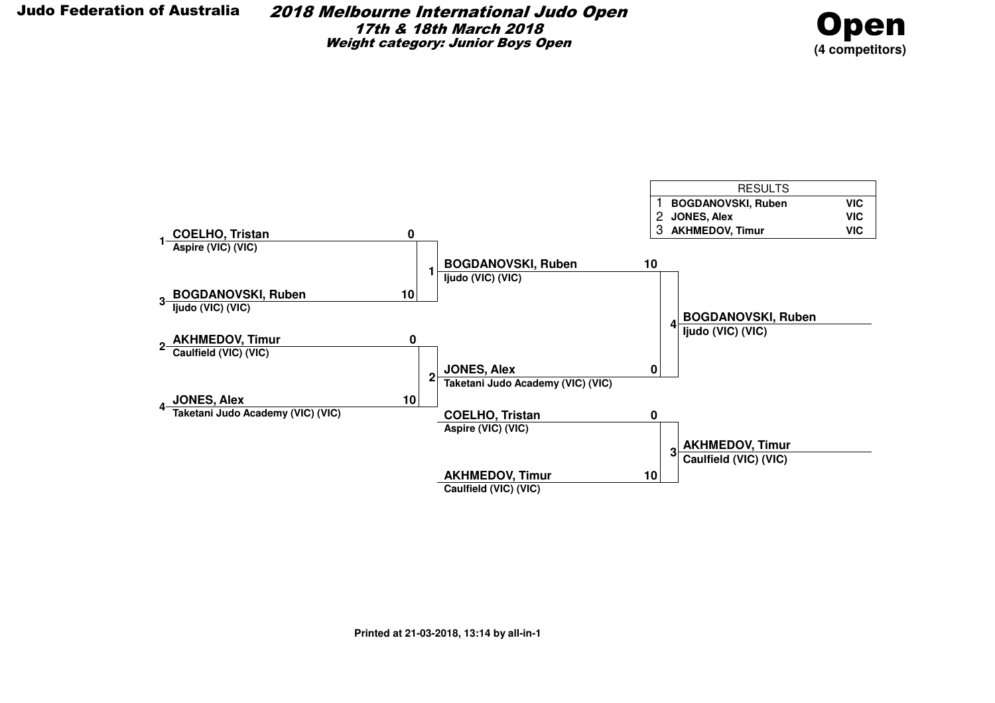

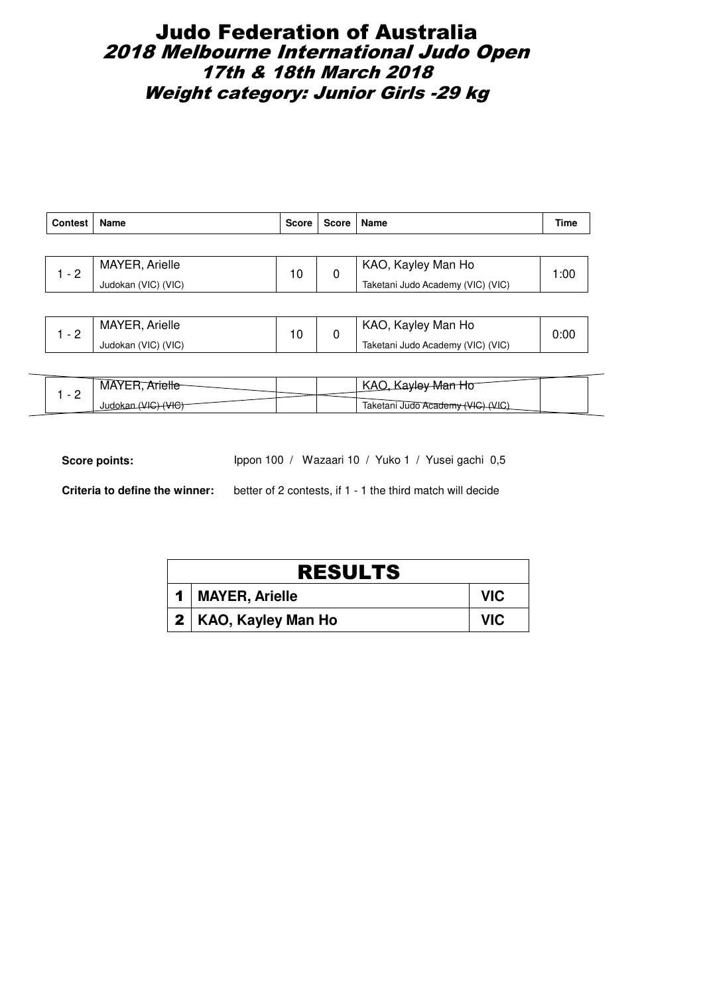# Judo Federation of Australia 2018 Melbourne International Judo Open 17th & 18th March 2018 Weight category: Junior Girls -29 kg

| <b>Contest</b> | Name                | <b>Score</b> | Score | Name                              | <b>Time</b> |
|----------------|---------------------|--------------|-------|-----------------------------------|-------------|
|                |                     |              |       |                                   |             |
| $-2$           | MAYER, Arielle      | 10           | 0     | KAO, Kayley Man Ho                | 1:00        |
|                | Judokan (VIC) (VIC) |              |       | Taketani Judo Academy (VIC) (VIC) |             |
|                |                     |              |       |                                   |             |
|                | MAVCDA              |              |       | $1/\Lambda \cap 1/\Lambda$        |             |

| <u>_</u>                                                 | 0:00 |
|----------------------------------------------------------|------|
| Judokan (VIC) (VIC)<br>Taketani Judo Academy (VIC) (VIC) |      |

| <b>NIA</b>     |  | $\mathbf{v}$<br>' <del>Wan H</del> o<br>عيماب<br>IV <sub>N</sub> |
|----------------|--|------------------------------------------------------------------|
| -<br>''<br>Juu |  | $\mathbf{u}$<br>Taketani Judo Academy                            |

Score points: Ippon 100 / Wazaari 10 / Yuko 1 / Yusei gachi 0,5

| <b>RESULTS</b>         |            |
|------------------------|------------|
| 1   MAYER, Arielle     | <b>VIC</b> |
| 2   KAO, Kayley Man Ho | <b>VIC</b> |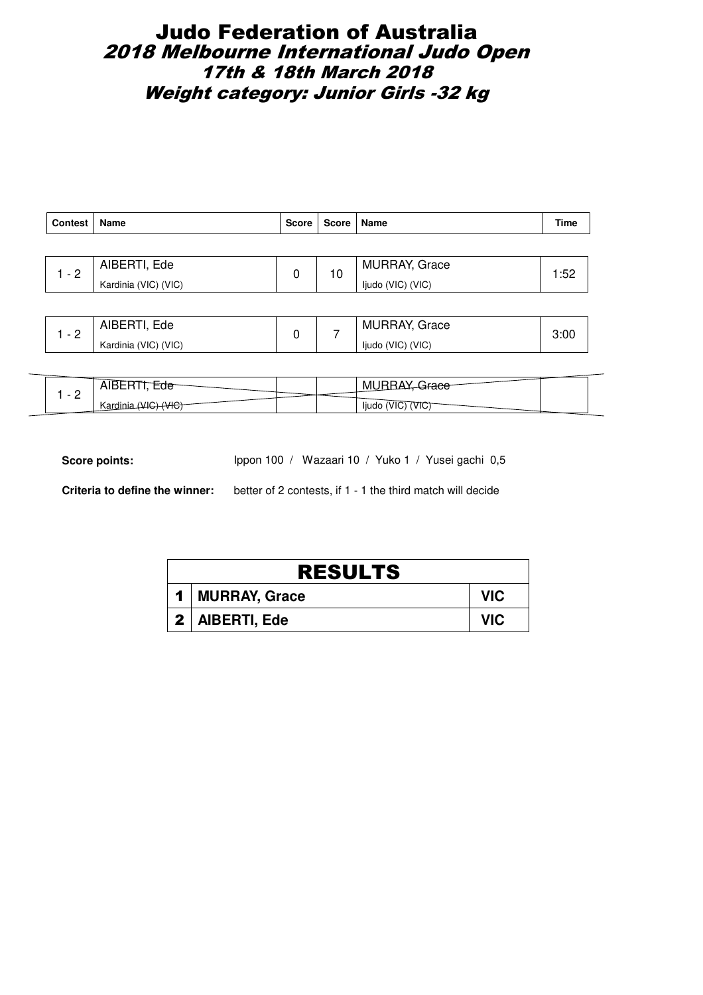# Judo Federation of Australia 2018 Melbourne International Judo Open 17th & 18th March 2018 Weight category: Junior Girls -32 kg

| Contest | Name                 | Score | Score   Name |                      | Time  |
|---------|----------------------|-------|--------------|----------------------|-------|
|         |                      |       |              |                      |       |
| - 2     | AIBERTI, Ede         | 0     | 10           | <b>MURRAY, Grace</b> | l :52 |
|         | Kardinia (VIC) (VIC) |       |              | ljudo (VIC) (VIC)    |       |

| ⌒        | Ede<br>AIBERT <sup>'</sup> |  | <b>MURRAY, Grace</b> | 3:00 |
|----------|----------------------------|--|----------------------|------|
| <u>_</u> | Kardinia (VIC) (VIC)       |  | ljudo (VIC) (VIC)    |      |

|        | ᆢ      |  | Μl<br>$-$              |
|--------|--------|--|------------------------|
| -<br>— | Kardır |  | ljudo<br>VICi<br>'VIC. |

Score points: Ippon 100 / Wazaari 10 / Yuko 1 / Yusei gachi 0,5

| <b>RESULTS</b>    |            |  |  |  |  |
|-------------------|------------|--|--|--|--|
| 1   MURRAY, Grace | VIC.       |  |  |  |  |
| 2   AIBERTI, Ede  | <b>VIC</b> |  |  |  |  |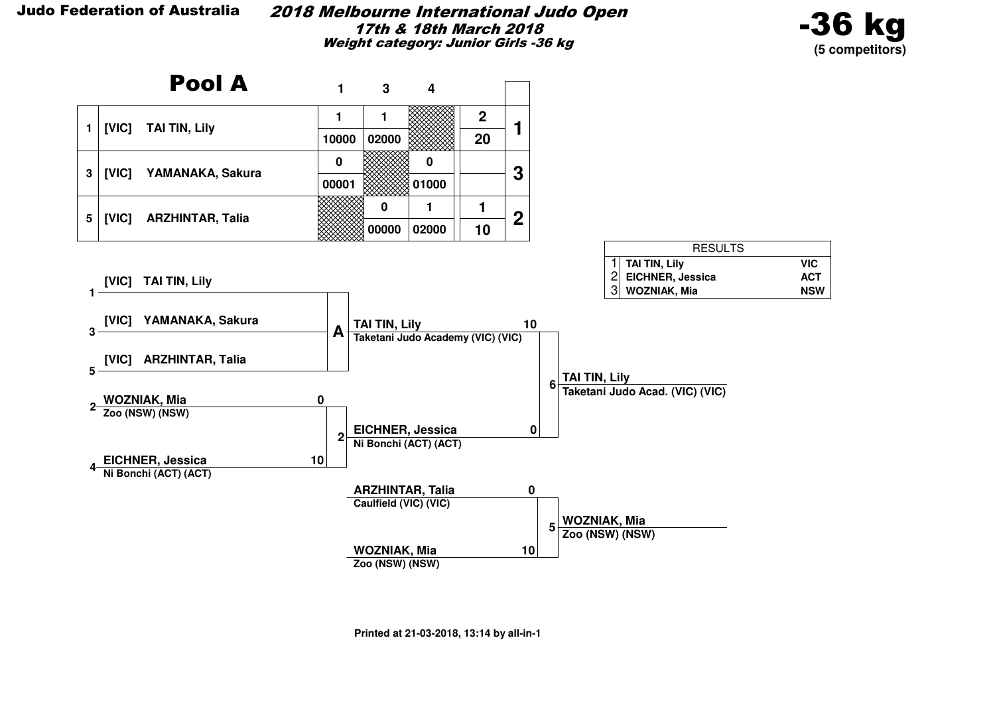#### 2018 Melbourne International Judo Open17th & 18th March 2018Weight category: Junior Girls -36 kg



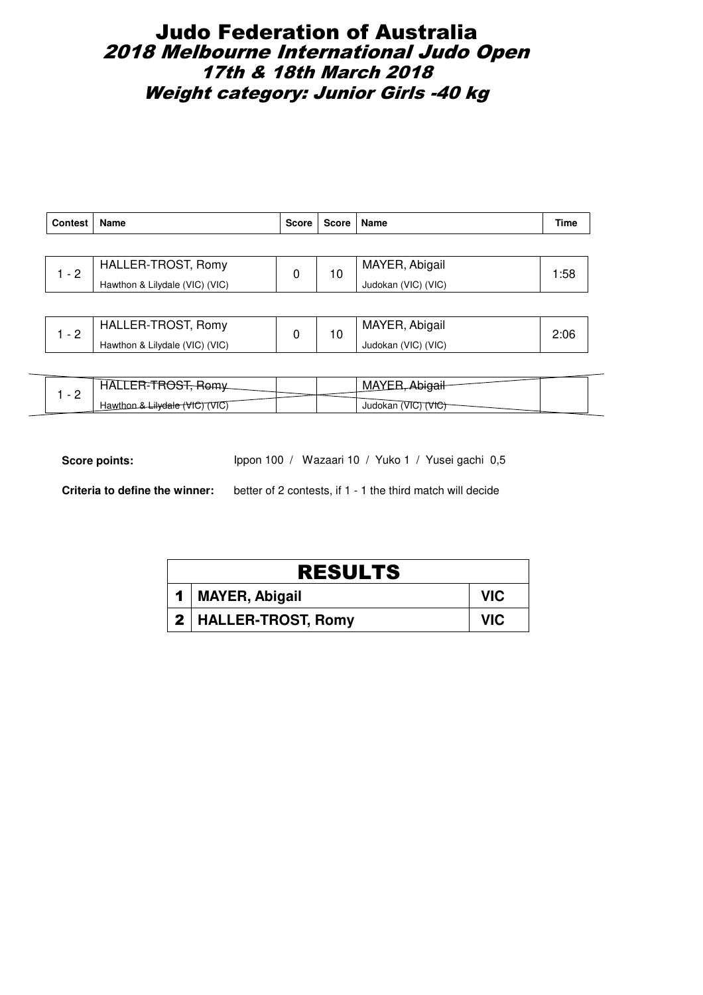# Judo Federation of Australia 2018 Melbourne International Judo Open 17th & 18th March 2018 Weight category: Junior Girls -40 kg

| <b>Contest</b> | Name                           | <b>Score</b> | Score   Name |                     | Time |
|----------------|--------------------------------|--------------|--------------|---------------------|------|
|                |                                |              |              |                     |      |
| $-2$           | HALLER-TROST, Romy             | 0            | 10           | MAYER, Abigail      | 1:58 |
|                | Hawthon & Lilydale (VIC) (VIC) |              |              | Judokan (VIC) (VIC) |      |
|                |                                |              |              |                     |      |

|          | HALLER-TROST, Romy             |  | MAYER, Abigail      | 2:06 |
|----------|--------------------------------|--|---------------------|------|
| <u>_</u> | Hawthon & Lilydale (VIC) (VIC) |  | Judokan (VIC) (VIC) |      |

| -<br>1AL                                                 |  | MZ.                    |
|----------------------------------------------------------|--|------------------------|
| -<br><del>«Lilydale rr</del><br>Hawthon<br>(VIC)<br>TUI. |  | VTC.<br>Judokan<br>ЛG, |

Score points: Ippon 100 / Wazaari 10 / Yuko 1 / Yusei gachi 0,5

| <b>RESULTS</b>         |            |  |  |  |
|------------------------|------------|--|--|--|
| 1   MAYER, Abigail     | <b>VIC</b> |  |  |  |
| 2   HALLER-TROST, Romy | <b>VIC</b> |  |  |  |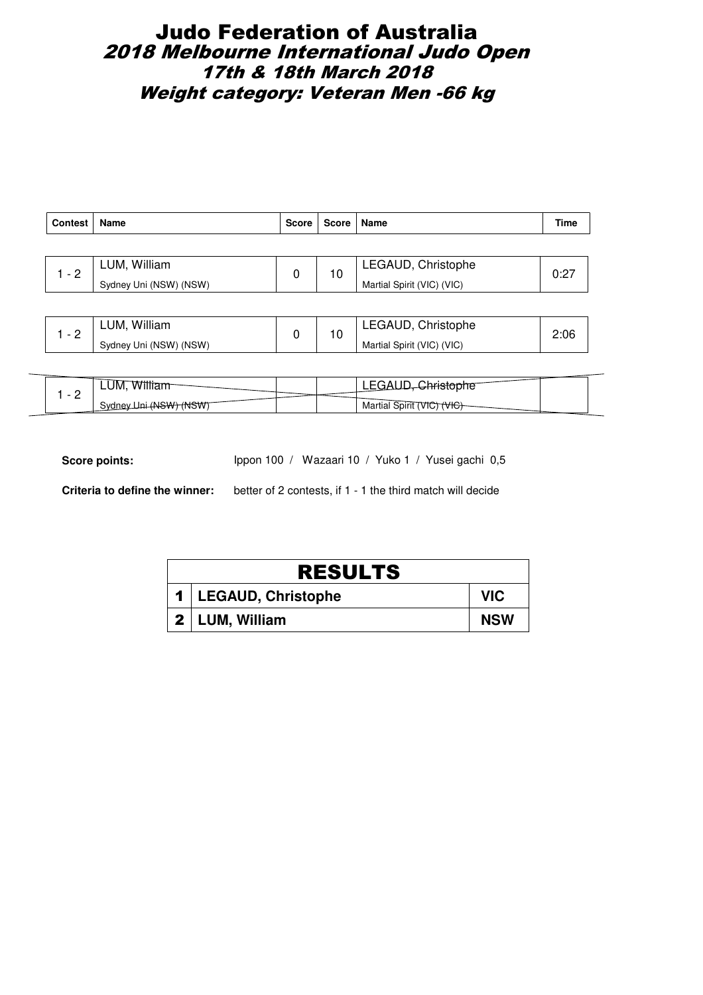# Judo Federation of Australia 2018 Melbourne International Judo Open 17th & 18th March 2018 Weight category: Veteran Men -66 kg

| Contest | Name                   | <b>Score</b> | Score   Name |                            | Time |
|---------|------------------------|--------------|--------------|----------------------------|------|
|         |                        |              |              |                            |      |
| $-2$    | LUM, William           | 0            | 10           | LEGAUD, Christophe         | 0:27 |
|         | Sydney Uni (NSW) (NSW) |              |              | Martial Spirit (VIC) (VIC) |      |
|         |                        |              |              |                            |      |

|   | William<br>LUM.        |  | LEGAUD, Christophe         | 2:06 |
|---|------------------------|--|----------------------------|------|
| - | Sydney Uni (NSW) (NSW) |  | Martial Spirit (VIC) (VIC) |      |

|   | LUM,<br>W۱                         |  | --                              |  |
|---|------------------------------------|--|---------------------------------|--|
| - | <del>∶(NSW) (NSW</del> )<br>Svdnev |  | Martial Spirit<br>VIG.<br>TVIG. |  |

Score points: Ippon 100 / Wazaari 10 / Yuko 1 / Yusei gachi 0,5

| <b>RESULTS</b>         |            |  |  |  |
|------------------------|------------|--|--|--|
| 1   LEGAUD, Christophe | <b>VIC</b> |  |  |  |
| 2   LUM, William       | <b>NSW</b> |  |  |  |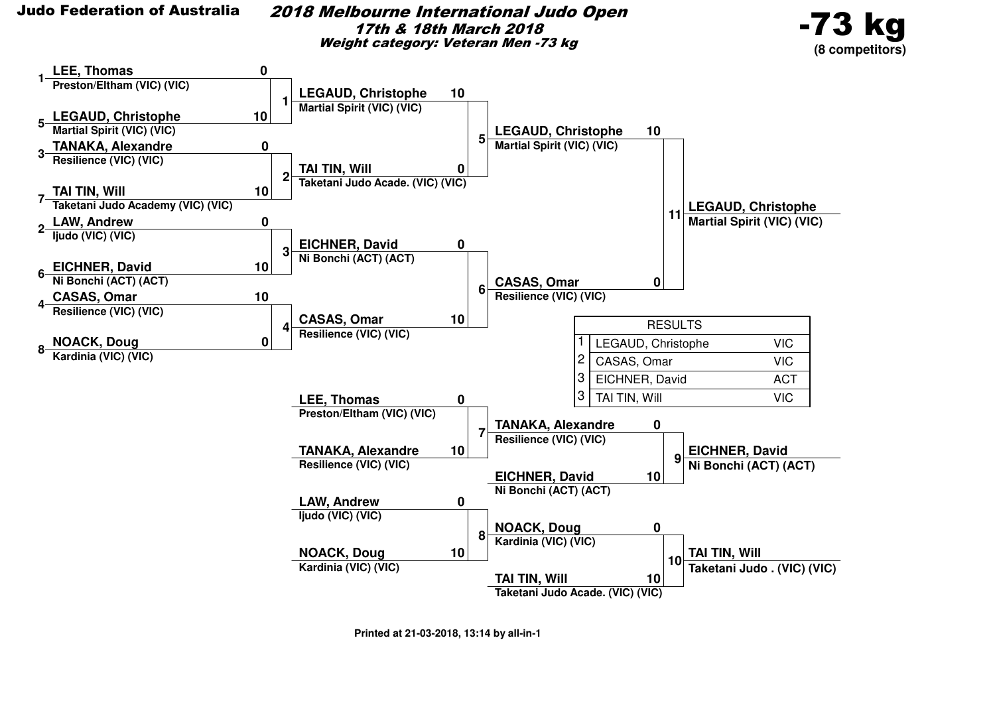2018 Melbourne International Judo Open17th & 18th March 2018Weight category: Veteran Men -73 kg



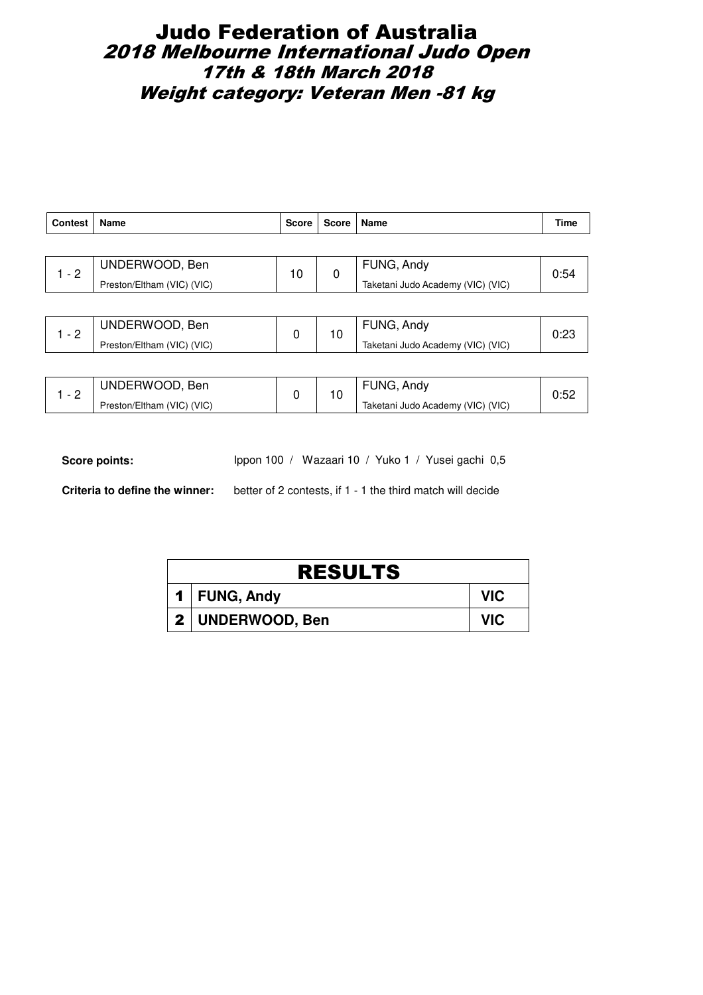# Judo Federation of Australia 2018 Melbourne International Judo Open 17th & 18th March 2018 Weight category: Veteran Men -81 kg

| <b>Contest</b> | Name                       | <b>Score</b> | <b>Score</b> | Name                              | Time |  |
|----------------|----------------------------|--------------|--------------|-----------------------------------|------|--|
|                |                            |              |              |                                   |      |  |
| $1 - 2$        | UNDERWOOD, Ben             | 10           | 0            | FUNG, Andy                        | 0:54 |  |
|                | Preston/Eltham (VIC) (VIC) |              |              | Taketani Judo Academy (VIC) (VIC) |      |  |
|                |                            |              |              |                                   |      |  |
| $1 - 2$        | UNDERWOOD, Ben             | 0            | 10           | FUNG, Andy                        | 0:23 |  |
|                | Preston/Eltham (VIC) (VIC) |              |              | Taketani Judo Academy (VIC) (VIC) |      |  |

| $\overline{\phantom{0}}$ | UNDERWOOD, Ben             |  |  | FUNG, Andy                        |  |
|--------------------------|----------------------------|--|--|-----------------------------------|--|
|                          | Preston/Eltham (VIC) (VIC) |  |  | Taketani Judo Academy (VIC) (VIC) |  |

Score points: Ippon 100 / Wazaari 10 / Yuko 1 / Yusei gachi 0,5

| <b>RESULTS</b>     |            |  |  |  |  |
|--------------------|------------|--|--|--|--|
| 1   FUNG, Andy     | <b>VIC</b> |  |  |  |  |
| 2   UNDERWOOD, Ben | <b>VIC</b> |  |  |  |  |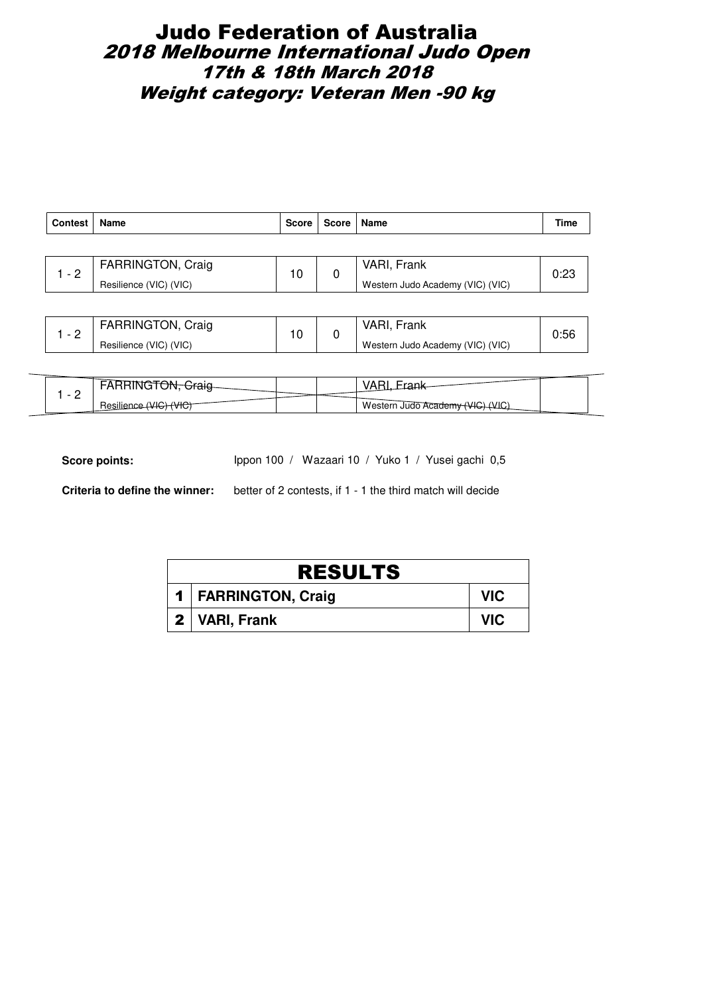# Judo Federation of Australia 2018 Melbourne International Judo Open 17th & 18th March 2018 Weight category: Veteran Men -90 kg

| Contest | Name                   | <b>Score</b> | Score | Name                             | Time |  |
|---------|------------------------|--------------|-------|----------------------------------|------|--|
|         |                        |              |       |                                  |      |  |
| $1 - 2$ | FARRINGTON, Craig      | 10           | 0     | VARI, Frank                      | 0:23 |  |
|         | Resilience (VIC) (VIC) |              |       | Western Judo Academy (VIC) (VIC) |      |  |
|         |                        |              |       |                                  |      |  |
|         |                        |              |       | MADL                             |      |  |

| <b>FARRINGTON, Craig</b> | $\overline{ }$ | VARI.<br>Frank                   | 0:56 |
|--------------------------|----------------|----------------------------------|------|
| Resilience (VIC) (VIC)   |                | Western Judo Academy (VIC) (VIC) |      |

| $\overline{\phantom{a}}$ | ╥┯            |  |                                  |  |
|--------------------------|---------------|--|----------------------------------|--|
| -                        | Resilie<br>ி∪ |  | Western Judo Academy (VIC) (VIC) |  |

Score points: Ippon 100 / Wazaari 10 / Yuko 1 / Yusei gachi 0,5

| <b>RESULTS</b>        |            |  |  |  |  |
|-----------------------|------------|--|--|--|--|
| 1   FARRINGTON, Craig | VIC.       |  |  |  |  |
| 2   VARI, Frank       | <b>VIC</b> |  |  |  |  |